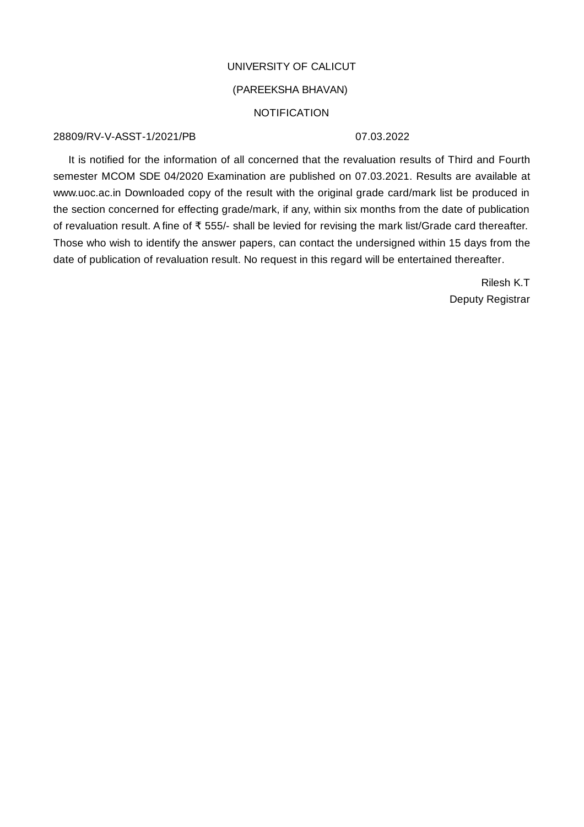### UNIVERSITY OF CALICUT

# (PAREEKSHA BHAVAN)

### **NOTIFICATION**

### 28809/RV-V-ASST-1/2021/PR

### 07 03 2022

It is notified for the information of all concerned that the revaluation results of Third and Fourth semester MCOM SDE 04/2020 Examination are published on 07.03.2021. Results are available at www.uoc.ac.in Downloaded copy of the result with the original grade card/mark list be produced in the section concerned for effecting grade/mark, if any, within six months from the date of publication of revaluation result. A fine of ₹ 555/- shall be levied for revising the mark list/Grade card thereafter. Those who wish to identify the answer papers, can contact the undersigned within 15 days from the date of publication of revaluation result. No request in this regard will be entertained thereafter.

> Rilesh K.T Deputy Registrar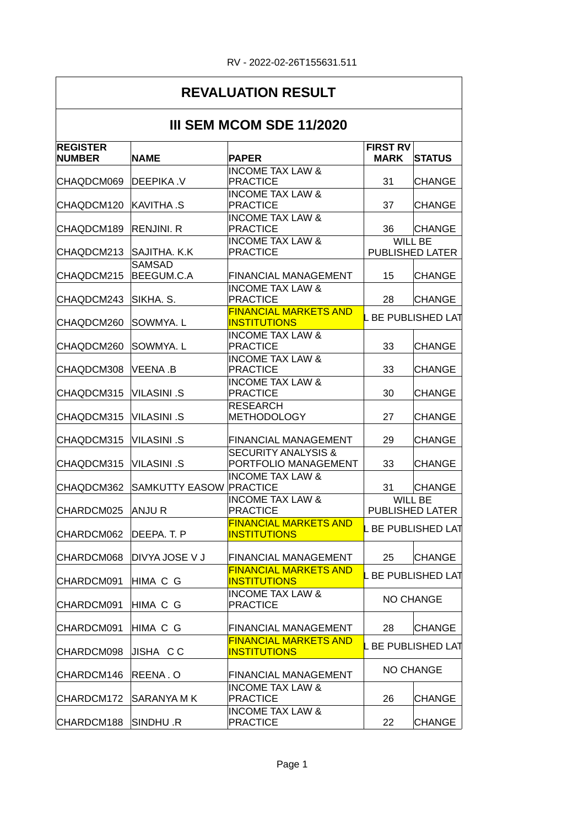#### **REVALUATION RESULT III SEM MCOM SDE 11/2020 NAME PAPER MARK** STATUS CHAQDCM069 DEEPIKA .V 31 CHANGE CHAQDCM120 KAVITHA S PRACTICE | 37 CHANGE CHAQDCM189 RENJINI. R 36 CHANGE CHAQDCM213 SAJITHA. K.K CHAODCM215 BEEGUM.C.A FINANCIAL MANAGEMENT | 15 CHANGE CHAQDCM243 SIKHA. S. PRACTICE | 28 CHANGE CHAQDCM260 SOWMYA.L **INSTITUTIONS** CHAQDCM260 SOWMYA. L 33 CHANGE CHAQDCM308 VEENA B PRACTICE 33 CHANGE CHAQDCM315 VILASINI .S 30 CHANGE CHAQDCM315 VILASINI .S 27 CHANGE METHODOLOGY CHAQDCM315 VILASINI .S FINANCIAL MANAGEMENT 29 CHANGE CHAQDCM315 VILASINI .S 33 CHANGE PORTFOLIO MANAGEMENT CHAQDCM362 SAMKUTTY EASOW 31 CHANGE PRACTICE CHARDCM025 ANJU R CHARDCM062 DEEPA. T. P MANUAL MARKETS AND LEEP UBLISHED LAT CHARDCM068 DIVYA JOSE V J FINANCIAL MANAGEMENT | 25 CHANGE CHARDCM091 HIMA C G **WINDER MARKETS AND LEARNED LATER**  $\overline{CHARDCMO91}$  HIMA C G PRACTICE  $\overline{P}$  NO CHANGE CHARDCM091 HIMA C G FINANCIAL MANAGEMENT | 28 CHANGE CHARDCM098 JISHA C C INSTITUTIONS  $|$ CHARDCM146 REENA . O FINANCIAL MANAGEMENT NO CHANGE CHARDCM172 SARANYA M K 26 CHANGE CHARDCM188 SINDHU .R 22 CHANGE **REGISTER NUMBER FIRST RV MARK** INCOME TAX LAW & PRACTICE INCOME TAX LAW & PRACTICE INCOME TAX LAW & PRACTICE INCOME TAX LAW & PRACTICE WILL BE PUBLISHED LATER **SAMSAD** BEEGUM.C.A INCOME TAX LAW & PRACTICE FINANCIAL MARKETS AND **INSTITUTIONS** INCOME TAX LAW & PRACTICE INCOME TAX LAW & PRACTICE INCOME TAX LAW & PRACTICE RESEARCH SECURITY ANALYSIS & INCOME TAX LAW & INCOME TAX LAW & PRACTICE WILL BE PUBLISHED LATER FINANCIAL MARKETS AND **INSTITUTIONS** FINANCIAL MARKETS AND **INSTITUTIONS** INCOME TAX LAW & PRACTICE FINANCIAL MARKETS AND INSTITUTIONS INCOME TAX LAW & PRACTICE INCOME TAX LAW & PRACTICE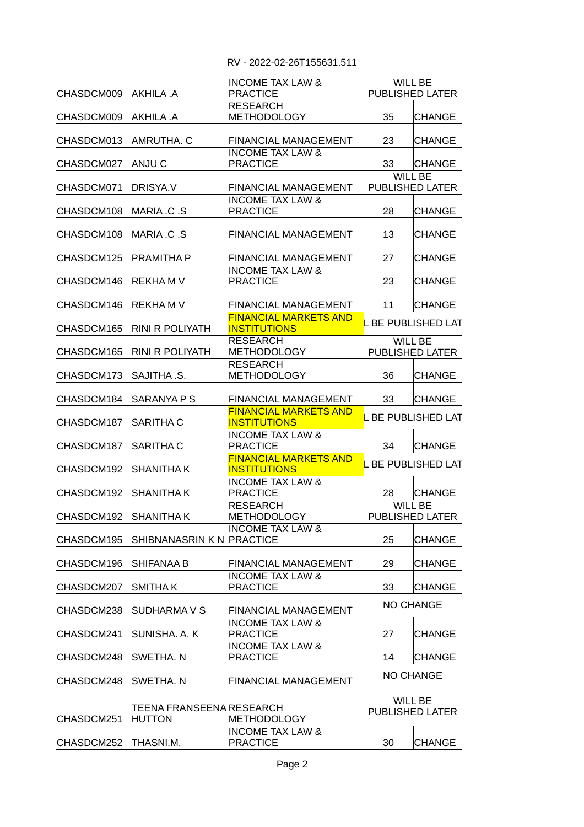| CHASDCM009           | AKHILA .A                 | <b>INCOME TAX LAW &amp;</b><br><b>PRACTICE</b>             |                         | WILL BE<br>PUBLISHED LATER |
|----------------------|---------------------------|------------------------------------------------------------|-------------------------|----------------------------|
| CHASDCM009           | AKHILA .A                 | <b>RESEARCH</b><br><b>METHODOLOGY</b>                      | 35                      | <b>CHANGE</b>              |
| CHASDCM013           | AMRUTHA. C                | <b>FINANCIAL MANAGEMENT</b>                                | 23                      | <b>CHANGE</b>              |
| CHASDCM027           | ANJU C                    | <b>INCOME TAX LAW &amp;</b><br><b>PRACTICE</b>             | 33                      | <b>CHANGE</b>              |
|                      |                           |                                                            |                         | <b>WILL BE</b>             |
| CHASDCM071           | DRISYA.V                  | <b>FINANCIAL MANAGEMENT</b><br><b>INCOME TAX LAW &amp;</b> |                         | PUBLISHED LATER            |
| CHASDCM108           | IMARIA .C .S              | <b>PRACTICE</b>                                            | 28                      | CHANGE                     |
| CHASDCM108           | IMARIA .C .S              | <b>FINANCIAL MANAGEMENT</b>                                | 13                      | CHANGE                     |
| CHASDCM125           | IPRAMITHA P               | FINANCIAL MANAGEMENT                                       | 27                      | <b>CHANGE</b>              |
| CHASDCM146           | <b>REKHA M V</b>          | <b>INCOME TAX LAW &amp;</b><br><b>PRACTICE</b>             | 23                      | <b>CHANGE</b>              |
| CHASDCM146           | <b>REKHA M V</b>          | <b>FINANCIAL MANAGEMENT</b>                                | 11                      | <b>CHANGE</b>              |
| CHASDCM165           | RINI R POLIYATH           | <b>FINANCIAL MARKETS AND</b><br><b>INSTITUTIONS</b>        | <b>BE PUBLISHED LAT</b> |                            |
| CHASDCM165           | RINI R POLIYATH           | <b>RESEARCH</b><br><b>METHODOLOGY</b>                      |                         | WILL BE<br>PUBLISHED LATER |
| CHASDCM173           | ISAJITHA .S.              | <b>RESEARCH</b><br><b>METHODOLOGY</b>                      | 36                      | <b>CHANGE</b>              |
| CHASDCM184           | ISARANYA P S              | <b>FINANCIAL MANAGEMENT</b>                                | 33                      | <b>CHANGE</b>              |
| CHASDCM187           | <b>SARITHA C</b>          | <b>FINANCIAL MARKETS AND</b><br><b>INSTITUTIONS</b>        | . BE PUBLISHED LAT      |                            |
| CHASDCM187           | <b>SARITHA C</b>          | <b>INCOME TAX LAW &amp;</b><br><b>PRACTICE</b>             | 34                      | <b>CHANGE</b>              |
| CHASDCM192           | ISHANITHA K               | <b>FINANCIAL MARKETS AND</b><br><b>INSTITUTIONS</b>        |                         | . BE PUBLISHED LAT         |
| CHASDCM192           | <b>SHANITHA K</b>         | <b>INCOME TAX LAW &amp;</b><br><b>PRACTICE</b>             | 28                      | <b>CHANGE</b>              |
| CHASDCM192 SHANITHAK |                           | <b>RESEARCH</b><br>METHODOLOGY                             |                         | WILL BE<br>PUBLISHED LATER |
| CHASDCM195           | SHIBNANASRIN K N PRACTICE | <b>INCOME TAX LAW &amp;</b>                                | 25                      | CHANGE                     |
| CHASDCM196           | <b>SHIFANAA B</b>         | FINANCIAL MANAGEMENT                                       | 29                      | CHANGE                     |
| CHASDCM207           | <b>SMITHAK</b>            | <b>INCOME TAX LAW &amp;</b><br><b>PRACTICE</b>             | 33                      | <b>CHANGE</b>              |
| CHASDCM238           | SUDHARMA V S              | FINANCIAL MANAGEMENT                                       |                         | NO CHANGE                  |
| CHASDCM241           | SUNISHA. A. K             | <b>INCOME TAX LAW &amp;</b><br><b>PRACTICE</b>             | 27                      | CHANGE                     |
| CHASDCM248           | SWETHA. N                 | <b>INCOME TAX LAW &amp;</b><br><b>PRACTICE</b>             | 14                      | CHANGE                     |
| CHASDCM248           | SWETHA. N                 | FINANCIAL MANAGEMENT                                       |                         | <b>NO CHANGE</b>           |
|                      | TEENA FRANSEENA RESEARCH  |                                                            |                         | WILL BE<br>PUBLISHED LATER |
| CHASDCM251           | <b>HUTTON</b>             | <b>METHODOLOGY</b>                                         |                         |                            |
|                      |                           | <b>INCOME TAX LAW &amp;</b>                                |                         |                            |
| CHASDCM252           | THASNI.M.                 | <b>PRACTICE</b>                                            | 30                      | CHANGE                     |
|                      |                           |                                                            |                         |                            |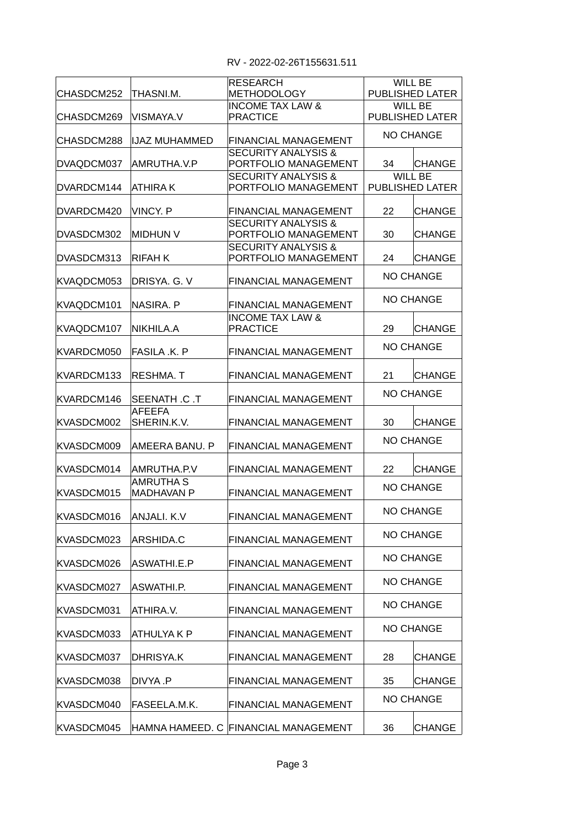| ICHASDCM252 | ITHASNI.M.            | <b>RESEARCH</b><br><b>METHODOLOGY</b>                  |                  | WILL BE<br><b>PUBLISHED LATER</b> |
|-------------|-----------------------|--------------------------------------------------------|------------------|-----------------------------------|
| CHASDCM269  | IVISMAYA.V            | <b>INCOME TAX LAW &amp;</b><br><b>PRACTICE</b>         |                  | <b>WILL BE</b>                    |
|             |                       |                                                        |                  | PUBLISHED LATER                   |
| CHASDCM288  | IIJAZ MUHAMMED        | FINANCIAL MANAGEMENT                                   |                  | <b>NO CHANGE</b>                  |
| DVAQDCM037  | AMRUTHA.V.P           | <b>SECURITY ANALYSIS &amp;</b><br>PORTFOLIO MANAGEMENT | 34               | <b>CHANGE</b>                     |
|             |                       | <b>SECURITY ANALYSIS &amp;</b>                         |                  | WILL BE                           |
| DVARDCM144  | ATHIRA K              | PORTFOLIO MANAGEMENT                                   |                  | PUBLISHED LATER                   |
| DVARDCM420  | IVINCY. P             | FINANCIAL MANAGEMENT                                   | 22               | CHANGE                            |
| DVASDCM302  | MIDHUN V              | <b>SECURITY ANALYSIS &amp;</b><br>PORTFOLIO MANAGEMENT | 30               | CHANGE                            |
| DVASDCM313  | IRIFAH K              | <b>SECURITY ANALYSIS &amp;</b><br>PORTFOLIO MANAGEMENT | 24               | <b>CHANGE</b>                     |
| KVAQDCM053  | DRISYA. G. V          | <b>FINANCIAL MANAGEMENT</b>                            |                  | <b>NO CHANGE</b>                  |
| KVAQDCM101  | NASIRA. P             | <b>FINANCIAL MANAGEMENT</b>                            |                  | <b>NO CHANGE</b>                  |
|             |                       | <b>INCOME TAX LAW &amp;</b>                            |                  |                                   |
| KVAQDCM107  | NIKHILA.A             | <b>PRACTICE</b>                                        | 29               | <b>CHANGE</b>                     |
| KVARDCM050  | FASILA .K. P          | <b>FINANCIAL MANAGEMENT</b>                            |                  | <b>NO CHANGE</b>                  |
| KVARDCM133  | IRESHMA. T            | <b>FINANCIAL MANAGEMENT</b>                            | 21               | <b>CHANGE</b>                     |
| KVARDCM146  | SEENATH .C .T         | <b>FINANCIAL MANAGEMENT</b>                            | <b>NO CHANGE</b> |                                   |
| KVASDCM002  | AFEEFA<br>SHERIN.K.V. | <b>FINANCIAL MANAGEMENT</b>                            | 30               | <b>CHANGE</b>                     |
| KVASDCM009  | IAMEERA BANU. P       | <b>FINANCIAL MANAGEMENT</b>                            |                  | <b>NO CHANGE</b>                  |
| KVASDCM014  | AMRUTHA.P.V           | <b>FINANCIAL MANAGEMENT</b>                            | 22               | <b>CHANGE</b>                     |
|             | AMRUTHA S             |                                                        |                  | <b>NO CHANGE</b>                  |
| KVASDCM015  | <b>MADHAVAN P</b>     | <b>FINANCIAL MANAGEMENT</b>                            |                  |                                   |
| KVASDCM016  | ANJALI. K.V           | FINANCIAL MANAGEMENT                                   |                  | NO CHANGE                         |
| KVASDCM023  | <b>ARSHIDA.C</b>      | FINANCIAL MANAGEMENT                                   |                  | NO CHANGE                         |
| KVASDCM026  | ASWATHI.E.P           | FINANCIAL MANAGEMENT                                   |                  | <b>NO CHANGE</b>                  |
| KVASDCM027  | ASWATHI.P.            | FINANCIAL MANAGEMENT                                   |                  | <b>NO CHANGE</b>                  |
| KVASDCM031  | ATHIRA.V.             | FINANCIAL MANAGEMENT                                   |                  | <b>NO CHANGE</b>                  |
| KVASDCM033  | ATHULYA K P           | FINANCIAL MANAGEMENT                                   |                  | NO CHANGE                         |
| KVASDCM037  | DHRISYA.K             | FINANCIAL MANAGEMENT                                   | 28               | <b>CHANGE</b>                     |
| KVASDCM038  | DIVYA .P              | FINANCIAL MANAGEMENT                                   | 35               | <b>CHANGE</b>                     |
| KVASDCM040  | FASEELA.M.K.          | <b>FINANCIAL MANAGEMENT</b>                            |                  | NO CHANGE                         |
| KVASDCM045  |                       | HAMNA HAMEED. C FINANCIAL MANAGEMENT                   | 36               | <b>CHANGE</b>                     |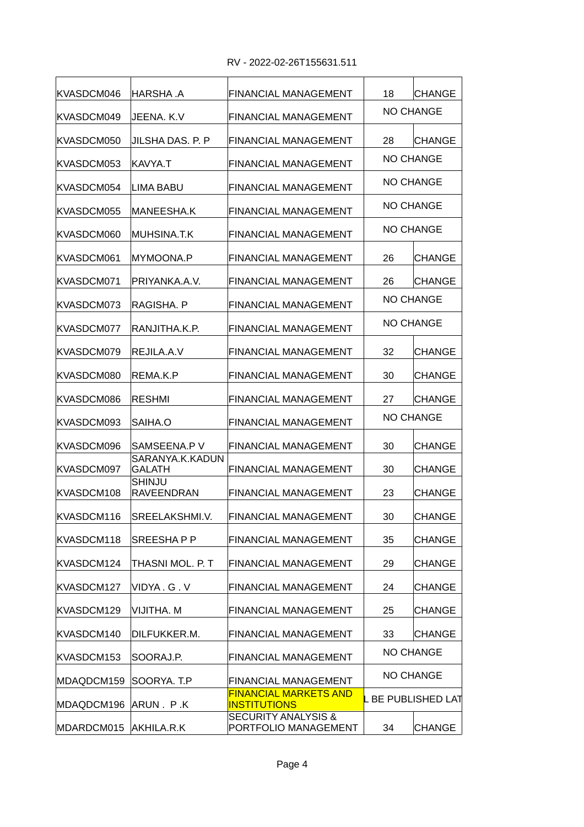| IKVASDCM046 | IHARSHA .A                         | <b>FINANCIAL MANAGEMENT</b>                            | 18               | <b>CHANGE</b>           |
|-------------|------------------------------------|--------------------------------------------------------|------------------|-------------------------|
| KVASDCM049  | JEENA. K.V                         | <b>FINANCIAL MANAGEMENT</b>                            |                  | <b>NO CHANGE</b>        |
| KVASDCM050  | JILSHA DAS. P. P                   | <b>FINANCIAL MANAGEMENT</b>                            | 28               | <b>CHANGE</b>           |
| KVASDCM053  | KAVYA.T                            | <b>FINANCIAL MANAGEMENT</b>                            |                  | <b>NO CHANGE</b>        |
| KVASDCM054  | ILIMA BABU                         | <b>FINANCIAL MANAGEMENT</b>                            |                  | <b>NO CHANGE</b>        |
| KVASDCM055  | MANEESHA.K                         | <b>FINANCIAL MANAGEMENT</b>                            |                  | <b>NO CHANGE</b>        |
| KVASDCM060  | MUHSINA.T.K                        | <b>FINANCIAL MANAGEMENT</b>                            |                  | <b>NO CHANGE</b>        |
| KVASDCM061  | MYMOONA.P                          | <b>FINANCIAL MANAGEMENT</b>                            | 26               | <b>CHANGE</b>           |
| KVASDCM071  | PRIYANKA.A.V.                      | <b>FINANCIAL MANAGEMENT</b>                            | 26               | <b>CHANGE</b>           |
| KVASDCM073  | RAGISHA. P                         | <b>FINANCIAL MANAGEMENT</b>                            |                  | <b>NO CHANGE</b>        |
| KVASDCM077  | RANJITHA.K.P.                      | <b>FINANCIAL MANAGEMENT</b>                            | <b>NO CHANGE</b> |                         |
| KVASDCM079  | REJILA.A.V                         | <b>FINANCIAL MANAGEMENT</b>                            | 32               | <b>CHANGE</b>           |
| KVASDCM080  | REMA.K.P                           | <b>FINANCIAL MANAGEMENT</b>                            | 30               | <b>CHANGE</b>           |
| KVASDCM086  | <b>RESHMI</b>                      | <b>FINANCIAL MANAGEMENT</b>                            | 27               | <b>CHANGE</b>           |
| KVASDCM093  | SAIHA.O                            | <b>FINANCIAL MANAGEMENT</b>                            | <b>NO CHANGE</b> |                         |
| KVASDCM096  | SAMSEENA.P V                       | <b>FINANCIAL MANAGEMENT</b>                            | 30               | <b>CHANGE</b>           |
| KVASDCM097  | SARANYA.K.KADUN<br><b>GALATH</b>   | <b>FINANCIAL MANAGEMENT</b>                            | 30               | <b>CHANGE</b>           |
| KVASDCM108  | <b>SHINJU</b><br><b>RAVEENDRAN</b> | <b>FINANCIAL MANAGEMENT</b>                            | 23               | <b>CHANGE</b>           |
| KVASDCM116  | SREELAKSHMI.V.                     | FINANCIAL MANAGEMENT                                   | 30               | <b>CHANGE</b>           |
| KVASDCM118  | SREESHAPP                          | <b>FINANCIAL MANAGEMENT</b>                            | 35               | <b>CHANGE</b>           |
| KVASDCM124  | THASNI MOL. P. T                   | FINANCIAL MANAGEMENT                                   | 29               | <b>CHANGE</b>           |
| KVASDCM127  | VIDYA.G.V                          | FINANCIAL MANAGEMENT                                   | 24               | <b>CHANGE</b>           |
| KVASDCM129  | VIJITHA. M                         | FINANCIAL MANAGEMENT                                   | 25               | <b>CHANGE</b>           |
| KVASDCM140  | DILFUKKER.M.                       | FINANCIAL MANAGEMENT                                   | 33               | <b>CHANGE</b>           |
| KVASDCM153  | SOORAJ.P.                          | FINANCIAL MANAGEMENT                                   |                  | <b>NO CHANGE</b>        |
| MDAQDCM159  | SOORYA. T.P                        | FINANCIAL MANAGEMENT                                   |                  | NO CHANGE               |
| MDAQDCM196  | ARUN. P.K                          | <b>FINANCIAL MARKETS AND</b><br><b>INSTITUTIONS</b>    |                  | <b>BE PUBLISHED LAT</b> |
| MDARDCM015  | AKHILA.R.K                         | <b>SECURITY ANALYSIS &amp;</b><br>PORTFOLIO MANAGEMENT | 34               | <b>CHANGE</b>           |
|             |                                    |                                                        |                  |                         |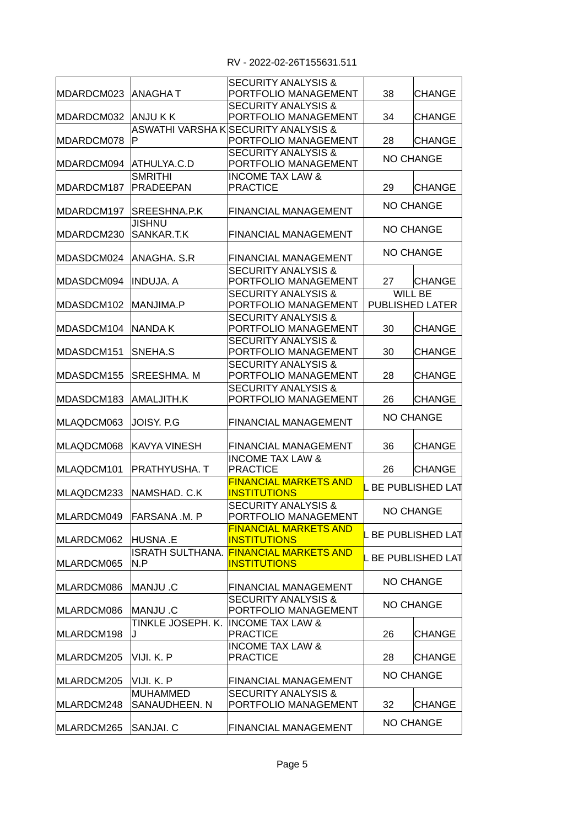| MDARDCM023  ANAGHA T |                          | <b>SECURITY ANALYSIS &amp;</b><br>PORTFOLIO MANAGEMENT | 38               | <b>CHANGE</b>           |
|----------------------|--------------------------|--------------------------------------------------------|------------------|-------------------------|
|                      |                          | <b>SECURITY ANALYSIS &amp;</b>                         |                  |                         |
| MDARDCM032           | ANJU K K                 | PORTFOLIO MANAGEMENT                                   | 34               | <b>CHANGE</b>           |
|                      |                          | ASWATHI VARSHA K SECURITY ANALYSIS &                   |                  |                         |
| MDARDCM078           | P                        | PORTFOLIO MANAGEMENT                                   | 28               | <b>CHANGE</b>           |
|                      |                          | <b>SECURITY ANALYSIS &amp;</b>                         |                  | <b>NO CHANGE</b>        |
| MDARDCM094           | ATHULYA.C.D              | PORTFOLIO MANAGEMENT                                   |                  |                         |
|                      | <b>SMRITHI</b>           | <b>INCOME TAX LAW &amp;</b>                            |                  |                         |
| MDARDCM187           | PRADEEPAN                | <b>PRACTICE</b>                                        | 29               | <b>CHANGE</b>           |
|                      |                          |                                                        |                  | <b>NO CHANGE</b>        |
| MDARDCM197           | SREESHNA.P.K             | <b>FINANCIAL MANAGEMENT</b>                            |                  |                         |
|                      | <b>JISHNU</b>            |                                                        |                  | <b>NO CHANGE</b>        |
| MDARDCM230           | SANKAR.T.K               | <b>FINANCIAL MANAGEMENT</b>                            |                  |                         |
| MDASDCM024           | ANAGHA, S.R              | FINANCIAL MANAGEMENT                                   |                  | <b>NO CHANGE</b>        |
|                      |                          |                                                        |                  |                         |
|                      |                          | <b>SECURITY ANALYSIS &amp;</b>                         |                  |                         |
| MDASDCM094           | IINDUJA. A               | PORTFOLIO MANAGEMENT                                   | 27               | <b>CHANGE</b>           |
|                      |                          | <b>SECURITY ANALYSIS &amp;</b>                         |                  | WILL BE                 |
| MDASDCM102           | MANJIMA.P                | PORTFOLIO MANAGEMENT                                   |                  | PUBLISHED LATER         |
|                      |                          | <b>SECURITY ANALYSIS &amp;</b>                         |                  |                         |
| MDASDCM104           | <b>NANDA K</b>           | PORTFOLIO MANAGEMENT                                   | 30               | <b>CHANGE</b>           |
|                      |                          | <b>SECURITY ANALYSIS &amp;</b>                         |                  |                         |
| MDASDCM151           | SNEHA.S                  | PORTFOLIO MANAGEMENT                                   | 30               | <b>CHANGE</b>           |
|                      |                          | <b>SECURITY ANALYSIS &amp;</b>                         |                  |                         |
| MDASDCM155           | <b>SREESHMA. M</b>       | PORTFOLIO MANAGEMENT                                   | 28               | <b>CHANGE</b>           |
|                      |                          |                                                        |                  |                         |
|                      |                          | <b>SECURITY ANALYSIS &amp;</b>                         |                  |                         |
| MDASDCM183           | AMALJITH.K               | PORTFOLIO MANAGEMENT                                   | 26               | <b>CHANGE</b>           |
|                      |                          |                                                        | <b>NO CHANGE</b> |                         |
| MLAQDCM063           | JOISY. P.G               | <b>FINANCIAL MANAGEMENT</b>                            |                  |                         |
| MLAQDCM068           | KAVYA VINESH             | <b>FINANCIAL MANAGEMENT</b>                            | 36               | <b>CHANGE</b>           |
|                      |                          |                                                        |                  |                         |
|                      |                          | <b>INCOME TAX LAW &amp;</b>                            |                  |                         |
| MLAQDCM101           | PRATHYUSHA. T            | <b>PRACTICE</b>                                        | 26               | <b>CHANGE</b>           |
|                      | NAMSHAD. C.K             | <b>FINANCIAL MARKETS AND</b>                           |                  | <b>BE PUBLISHED LAT</b> |
| MLAQDCM233           |                          | <b>INSTITUTIONS</b>                                    |                  |                         |
|                      |                          | <b>SECURITY ANALYSIS &amp;</b>                         |                  | <b>NO CHANGE</b>        |
|                      | MLARDCM049 FARSANA .M. P | PORTFOLIO MANAGEMENT                                   |                  |                         |
|                      |                          | <b>FINANCIAL MARKETS AND</b>                           |                  | <b>BE PUBLISHED LAT</b> |
| MLARDCM062           | HUSNA .E                 | <b>INSTITUTIONS</b>                                    |                  |                         |
|                      | IISRATH SULTHANA.        | <b>FINANCIAL MARKETS AND</b>                           |                  | <b>BE PUBLISHED LAT</b> |
| MLARDCM065           | N.P                      | <b>INSTITUTIONS</b>                                    |                  |                         |
|                      |                          |                                                        |                  | <b>NO CHANGE</b>        |
| MLARDCM086           | MANJU .C                 | FINANCIAL MANAGEMENT                                   |                  |                         |
|                      |                          | <b>SECURITY ANALYSIS &amp;</b>                         |                  |                         |
| MLARDCM086           | MANJU .C                 | PORTFOLIO MANAGEMENT                                   |                  | NO CHANGE               |
|                      | TINKLE JOSEPH. K.        | <b>IINCOME TAX LAW &amp;</b>                           |                  |                         |
| MLARDCM198           | J                        | <b>PRACTICE</b>                                        | 26               | <b>CHANGE</b>           |
|                      |                          | <b>INCOME TAX LAW &amp;</b>                            |                  |                         |
| MLARDCM205           | VIJI. K. P               | <b>PRACTICE</b>                                        | 28               | CHANGE                  |
|                      |                          |                                                        |                  |                         |
|                      |                          |                                                        |                  | <b>NO CHANGE</b>        |
| MLARDCM205           | VIJI. K. P               | FINANCIAL MANAGEMENT                                   |                  |                         |
|                      | MUHAMMED                 | <b>SECURITY ANALYSIS &amp;</b>                         |                  |                         |
| MLARDCM248           | SANAUDHEEN. N            | PORTFOLIO MANAGEMENT                                   | 32               | <b>CHANGE</b>           |
|                      |                          |                                                        |                  | <b>NO CHANGE</b>        |
| MLARDCM265           | SANJAI. C                | FINANCIAL MANAGEMENT                                   |                  |                         |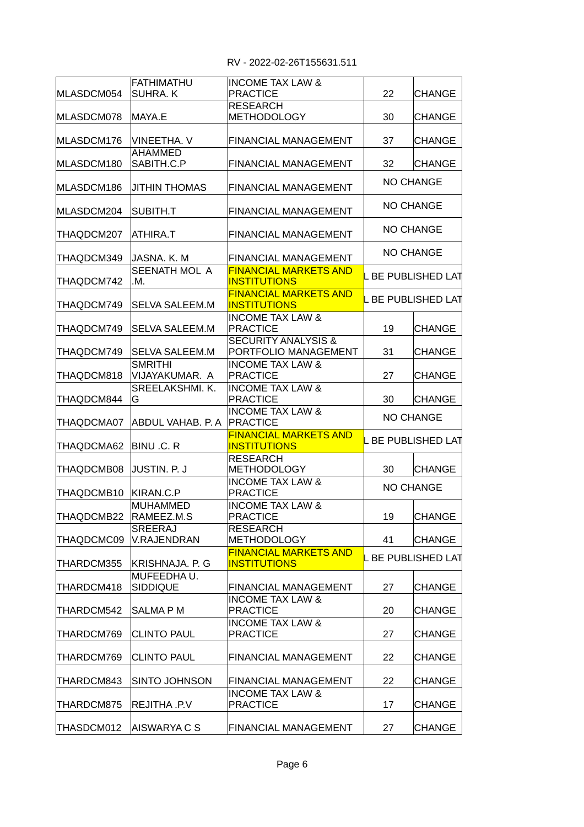RV - 2022-02-26T155631.511

| MLASDCM054 | FATHIMATHU<br>SUHRA. K           | <b>INCOME TAX LAW &amp;</b><br><b>PRACTICE</b>         | 22                 | CHANGE                  |
|------------|----------------------------------|--------------------------------------------------------|--------------------|-------------------------|
| MLASDCM078 | MAYA.E                           | <b>RESEARCH</b><br><b>METHODOLOGY</b>                  | 30                 | <b>CHANGE</b>           |
| MLASDCM176 | VINEETHA. V                      | FINANCIAL MANAGEMENT                                   | 37                 | <b>CHANGE</b>           |
| MLASDCM180 | AHAMMED<br>SABITH.C.P            | FINANCIAL MANAGEMENT                                   | 32                 | CHANGE                  |
| MLASDCM186 | <b>JITHIN THOMAS</b>             | <b>FINANCIAL MANAGEMENT</b>                            |                    | <b>NO CHANGE</b>        |
| MLASDCM204 | SUBITH.T                         | FINANCIAL MANAGEMENT                                   |                    | <b>NO CHANGE</b>        |
| THAQDCM207 | ATHIRA.T                         | <b>FINANCIAL MANAGEMENT</b>                            |                    | <b>NO CHANGE</b>        |
| THAQDCM349 | IJASNA. K. M                     | <b>FINANCIAL MANAGEMENT</b>                            |                    | <b>NO CHANGE</b>        |
| THAQDCM742 | SEENATH MOL A<br>.M.             | <b>FINANCIAL MARKETS AND</b><br><b>INSTITUTIONS</b>    |                    | L BE PUBLISHED LAT      |
| THAQDCM749 | SELVA SALEEM.M                   | <b>FINANCIAL MARKETS AND</b><br><b>INSTITUTIONS</b>    |                    | L BE PUBLISHED LAT      |
| THAQDCM749 | <b>SELVA SALEEM.M</b>            | <b>INCOME TAX LAW &amp;</b><br><b>PRACTICE</b>         | 19                 | <b>CHANGE</b>           |
| THAQDCM749 | SELVA SALEEM.M                   | <b>SECURITY ANALYSIS &amp;</b><br>PORTFOLIO MANAGEMENT | 31                 | <b>CHANGE</b>           |
| THAQDCM818 | <b>SMRITHI</b><br>VIJAYAKUMAR. A | <b>INCOME TAX LAW &amp;</b><br><b>PRACTICE</b>         | 27                 | <b>CHANGE</b>           |
| THAQDCM844 | SREELAKSHMI. K.<br>G             | <b>INCOME TAX LAW &amp;</b><br><b>PRACTICE</b>         | 30                 | <b>CHANGE</b>           |
| THAQDCMA07 | ABDUL VAHAB. P. A PRACTICE       | <b>INCOME TAX LAW &amp;</b>                            | <b>NO CHANGE</b>   |                         |
| THAQDCMA62 | BINU .C. R                       | <b>FINANCIAL MARKETS AND</b><br><b>INSTITUTIONS</b>    | . BE PUBLISHED LAT |                         |
| THAQDCMB08 | JUSTIN. P. J                     | <b>RESEARCH</b><br><b>METHODOLOGY</b>                  | 30                 | <b>CHANGE</b>           |
| THAQDCMB10 | KIRAN.C.P                        | <b>INCOME TAX LAW &amp;</b><br><b>PRACTICE</b>         |                    | <b>NO CHANGE</b>        |
| THAQDCMB22 | <b>MUHAMMED</b><br>RAMEEZ.M.S    | <b>INCOME TAX LAW &amp;</b><br><b>PRACTICE</b>         | 19                 | <b>CHANGE</b>           |
| THAQDCMC09 | SREERAJ<br>V.RAJENDRAN           | <b>RESEARCH</b><br><b>METHODOLOGY</b>                  | 41                 | <b>CHANGE</b>           |
| THARDCM355 | <b>KRISHNAJA. P. G</b>           | <b>FINANCIAL MARKETS AND</b><br><b>INSTITUTIONS</b>    |                    | <b>BE PUBLISHED LAT</b> |
| THARDCM418 | MUFEEDHAU.<br><b>SIDDIQUE</b>    | FINANCIAL MANAGEMENT                                   | 27                 | CHANGE                  |
| THARDCM542 | <b>SALMAPM</b>                   | <b>INCOME TAX LAW &amp;</b><br><b>PRACTICE</b>         | 20                 | <b>CHANGE</b>           |
| THARDCM769 | <b>CLINTO PAUL</b>               | <b>INCOME TAX LAW &amp;</b><br><b>PRACTICE</b>         | 27                 | <b>CHANGE</b>           |
| THARDCM769 | <b>CLINTO PAUL</b>               | FINANCIAL MANAGEMENT                                   | 22                 | CHANGE                  |
| THARDCM843 | SINTO JOHNSON                    | FINANCIAL MANAGEMENT                                   | 22                 | CHANGE                  |
| THARDCM875 | REJITHA .P.V                     | <b>INCOME TAX LAW &amp;</b><br><b>PRACTICE</b>         | 17                 | <b>CHANGE</b>           |
| THASDCM012 | AISWARYA C S                     | FINANCIAL MANAGEMENT                                   | 27                 | <b>CHANGE</b>           |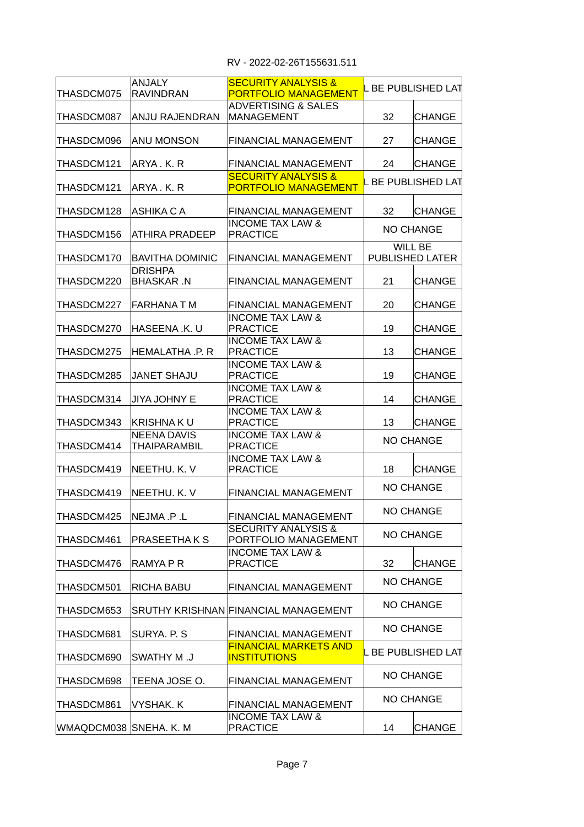| THASDCM075             | ANJALY<br><b>RAVINDRAN</b>         | <b>SECURITY ANALYSIS &amp;</b><br><b>PORTFOLIO MANAGEMENT</b> |    | BE PUBLISHED LAT           |  |
|------------------------|------------------------------------|---------------------------------------------------------------|----|----------------------------|--|
| THASDCM087             | ANJU RAJENDRAN                     | <b>ADVERTISING &amp; SALES</b><br><b>MANAGEMENT</b>           | 32 | ICHANGE                    |  |
| THASDCM096             | ANU MONSON                         | <b>FINANCIAL MANAGEMENT</b>                                   | 27 | <b>CHANGE</b>              |  |
| THASDCM121             | ARYA, K. R                         | <b>FINANCIAL MANAGEMENT</b>                                   | 24 | <b>CHANGE</b>              |  |
| THASDCM121             | IARYA . K. R                       | <b>SECURITY ANALYSIS &amp;</b><br><b>PORTFOLIO MANAGEMENT</b> |    | <b>BE PUBLISHED LAT</b>    |  |
| THASDCM128             | ASHIKA C A                         | FINANCIAL MANAGEMENT                                          | 32 | <b>CHANGE</b>              |  |
| THASDCM156             | ATHIRA PRADEEP                     | <b>INCOME TAX LAW &amp;</b><br><b>PRACTICE</b>                |    | <b>NO CHANGE</b>           |  |
| THASDCM170             | BAVITHA DOMINIC                    | <b>FINANCIAL MANAGEMENT</b>                                   |    | WILL BE<br>PUBLISHED LATER |  |
| THASDCM220             | <b>DRISHPA</b><br><b>BHASKAR N</b> | <b>FINANCIAL MANAGEMENT</b>                                   | 21 | <b>CHANGE</b>              |  |
| THASDCM227             | IFARHANA T M                       | FINANCIAL MANAGEMENT                                          | 20 | <b>CHANGE</b>              |  |
| THASDCM270             | HASEENA .K. U                      | <b>INCOME TAX LAW &amp;</b><br><b>PRACTICE</b>                | 19 | <b>CHANGE</b>              |  |
| THASDCM275             | HEMALATHA .P. R                    | <b>INCOME TAX LAW &amp;</b><br><b>PRACTICE</b>                | 13 | <b>CHANGE</b>              |  |
| THASDCM285             | <b>JANET SHAJU</b>                 | <b>INCOME TAX LAW &amp;</b><br><b>PRACTICE</b>                | 19 | <b>CHANGE</b>              |  |
| THASDCM314             | JIYA JOHNY E                       | <b>INCOME TAX LAW &amp;</b><br><b>PRACTICE</b>                | 14 | <b>CHANGE</b>              |  |
| THASDCM343             | KRISHNA K U                        | <b>INCOME TAX LAW &amp;</b><br><b>PRACTICE</b>                | 13 | <b>CHANGE</b>              |  |
| THASDCM414             | NEENA DAVIS<br>THAIPARAMBIL        | <b>INCOME TAX LAW &amp;</b><br><b>PRACTICE</b>                |    | <b>NO CHANGE</b>           |  |
| THASDCM419             | NEETHU. K. V                       | <b>INCOME TAX LAW &amp;</b><br><b>PRACTICE</b>                | 18 | <b>CHANGE</b>              |  |
| THASDCM419             | NEETHU. K. V                       | <b>FINANCIAL MANAGEMENT</b>                                   |    | <b>NO CHANGE</b>           |  |
| THASDCM425             | NEJMA .P .L                        | <b>FINANCIAL MANAGEMENT</b>                                   |    | NO CHANGE                  |  |
| THASDCM461             | PRASEETHA K S                      | <b>SECURITY ANALYSIS &amp;</b><br>PORTFOLIO MANAGEMENT        |    | <b>NO CHANGE</b>           |  |
| THASDCM476             | RAMYA P R                          | <b>INCOME TAX LAW &amp;</b><br><b>PRACTICE</b>                | 32 | <b>CHANGE</b>              |  |
| THASDCM501             | RICHA BABU                         | FINANCIAL MANAGEMENT                                          |    | <b>NO CHANGE</b>           |  |
| THASDCM653             |                                    | <b>SRUTHY KRISHNAN FINANCIAL MANAGEMENT</b>                   |    | <b>NO CHANGE</b>           |  |
| THASDCM681             | SURYA. P. S                        | FINANCIAL MANAGEMENT                                          |    | NO CHANGE                  |  |
| THASDCM690             | <b>U. M YHTAWS</b>                 | <b>FINANCIAL MARKETS AND</b><br><b>INSTITUTIONS</b>           |    | BE PUBLISHED LAT           |  |
| THASDCM698             | TEENA JOSE O.                      | <b>FINANCIAL MANAGEMENT</b>                                   |    | <b>NO CHANGE</b>           |  |
| THASDCM861             | VYSHAK. K                          | FINANCIAL MANAGEMENT                                          |    | NO CHANGE                  |  |
| WMAQDCM038 SNEHA. K. M |                                    | <b>INCOME TAX LAW &amp;</b><br><b>PRACTICE</b>                | 14 | CHANGE                     |  |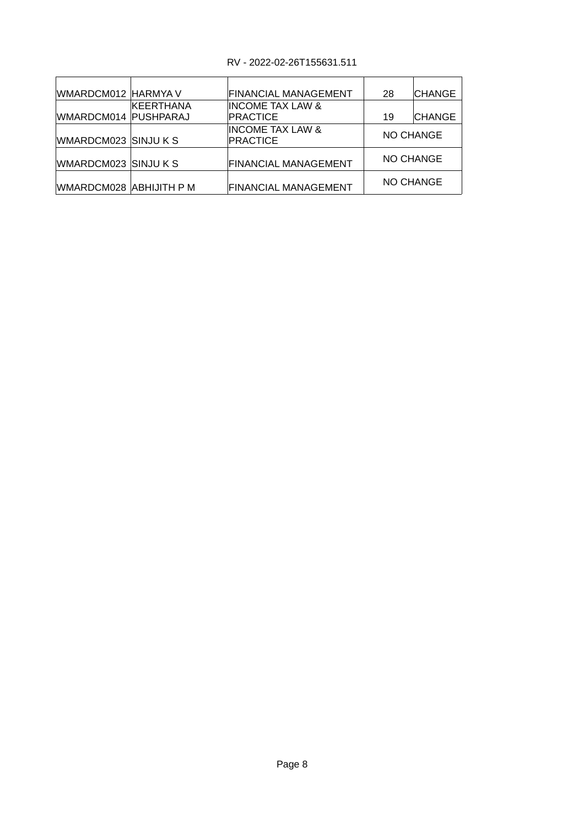## RV - 2022-02-26T155631.511

| WMARDCM012 HARMYA V     |            | FINANCIAL MANAGEMENT                           | 28        | <b>CHANGE</b> |  |
|-------------------------|------------|------------------------------------------------|-----------|---------------|--|
| WMARDCM014 PUSHPARAJ    | IKEERTHANA | <b>INCOME TAX LAW &amp;</b><br><b>PRACTICE</b> | 19        | <b>CHANGE</b> |  |
| WMARDCM023 SINJU K S    |            | <b>INCOME TAX LAW &amp;</b><br><b>PRACTICE</b> | NO CHANGE |               |  |
| WMARDCM023 SINJU K S    |            | <b>FINANCIAL MANAGEMENT</b>                    | NO CHANGE |               |  |
| WMARDCM028 ABHIJITH P M |            | <b>FINANCIAL MANAGEMENT</b>                    | NO CHANGE |               |  |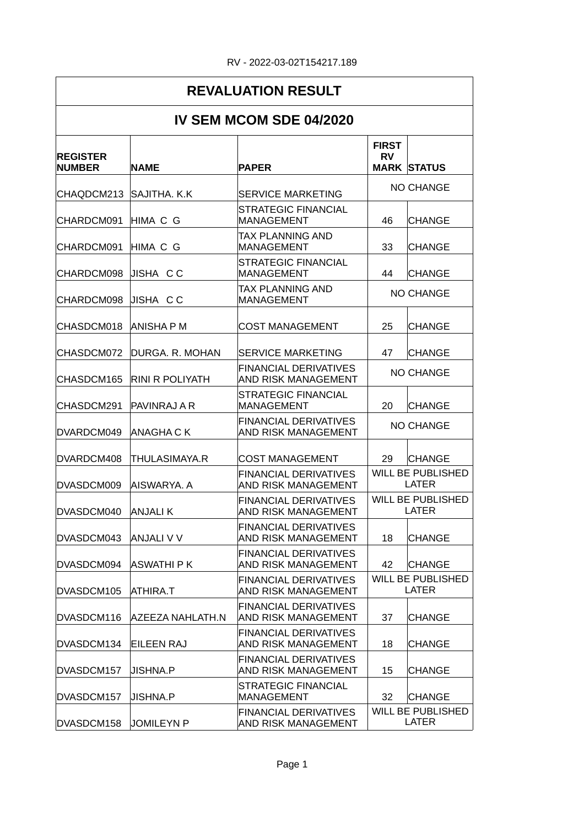### RV - 2022-03-02T154217.189

### **REVALUATION RESULT IV SEM MCOM SDE 04/2020 NAME PAPER STATUS MARK** CHAQDCM213 SAJITHA. K.K SERVICE MARKETING NO CHANGE CHARDCM091 HIMA C G MANAGEMENT 146 CHANGE CHARDCM091 HIMA C G 33 CHANGE MANAGEMENT CHARDCM098 JISHA C C 44 CHANGE CHARDCM098 JISHA C C MANAGEMENT NO CHANGE CHASDCM018 ANISHA P M COST MANAGEMENT | 25 CHANGE CHASDCM072 DURGA. R. MOHAN SERVICE MARKETING | 47 CHANGE CHASDCM165 RINI R POLIYATH AND RISK MANAGEMENT CHASDCM291 PAVINRAJAR MANAGEMENT | 20 CHANGE DVARDCM049 ANAGHA C K FINANCIAL DERIVATIVES NO CHANGE DVARDCM408 THULASIMAYA.R COST MANAGEMENT 29 CHANGE DVASDCM009 AISWARYA. A DVASDCM040 ANJALIK DVASDCM043 ANJALI V V AND RISK MANAGEMENT | 18 CHANGE DVASDCM094 ASWATHI P K AND RISK MANAGEMENT | 42 CHANGE DVASDCM105 ATHIRA.T DVASDCM116 AZEEZA NAHLATH.N AND RISK MANAGEMENT | 37 CHANGE DVASDCM134 EILEEN RAJ AND RISK MANAGEMENT | 18 |CHANGE DVASDCM157 JISHNA.P 15 CHANGE AND RISK MANAGEMENT DVASDCM157 JISHNA.P 32 CHANGE MANAGEMENT **REGISTER NUMBER FIRST RV**  STRATEGIC FINANCIAL MANAGEMENT TAX PLANNING AND STRATEGIC FINANCIAL MANAGEMENT TAX PLANNING AND MANAGEMENT FINANCIAL DERIVATIVES STRATEGIC FINANCIAL MANAGEMENT FINANCIAL DERIVATIVES FINANCIAL DERIVATIVES AND RISK MANAGEMENT WILL BE PUBLISHED LATER FINANCIAL DERIVATIVES AND RISK MANAGEMENT WILL BE PUBLISHED LATER FINANCIAL DERIVATIVES FINANCIAL DERIVATIVES FINANCIAL DERIVATIVES AND RISK MANAGEMENT WILL BE PUBLISHED LATER FINANCIAL DERIVATIVES FINANCIAL DERIVATIVES FINANCIAL DERIVATIVES STRATEGIC FINANCIAL FINANCIAL DERIVATIVES WILL BE PUBLISHED

AND RISK MANAGEMENT

LATER

DVASDCM158 JOMILEYN P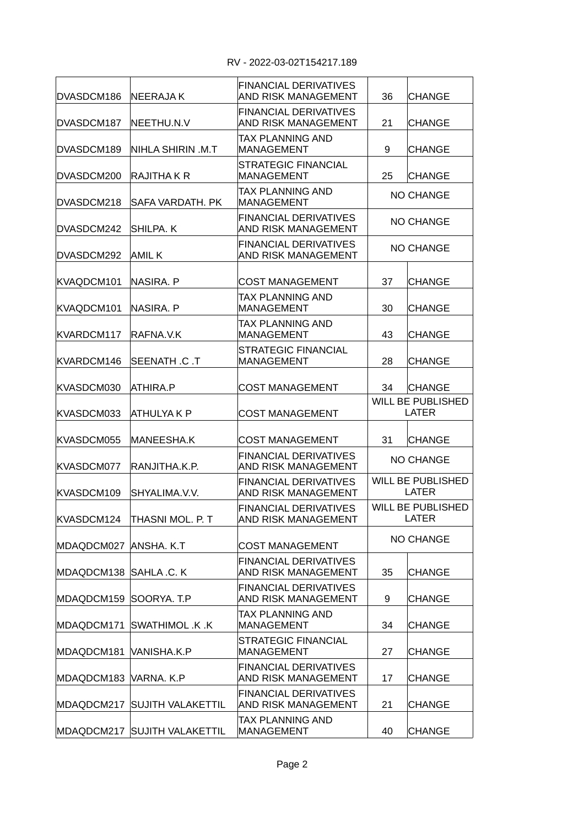| DVASDCM186 | NEERAJA K                | <b>FINANCIAL DERIVATIVES</b><br>AND RISK MANAGEMENT        | 36 | <b>CHANGE</b>                            |
|------------|--------------------------|------------------------------------------------------------|----|------------------------------------------|
| DVASDCM187 | NEETHU.N.V               | <b>FINANCIAL DERIVATIVES</b><br>AND RISK MANAGEMENT        | 21 | <b>CHANGE</b>                            |
| DVASDCM189 | NIHLA SHIRIN .M.T        | <b>TAX PLANNING AND</b><br><b>MANAGEMENT</b>               | 9  | <b>CHANGE</b>                            |
| DVASDCM200 | RAJITHA K R              | STRATEGIC FINANCIAL<br><b>MANAGEMENT</b>                   | 25 | <b>CHANGE</b>                            |
| DVASDCM218 | SAFA VARDATH. PK         | TAX PLANNING AND<br><b>MANAGEMENT</b>                      |    | <b>NO CHANGE</b>                         |
| DVASDCM242 | SHILPA, K                | <b>FINANCIAL DERIVATIVES</b><br>AND RISK MANAGEMENT        |    | <b>NO CHANGE</b>                         |
| DVASDCM292 | AMIL K                   | <b>FINANCIAL DERIVATIVES</b><br>AND RISK MANAGEMENT        |    | <b>NO CHANGE</b>                         |
| KVAQDCM101 | NASIRA. P                | <b>COST MANAGEMENT</b>                                     | 37 | <b>CHANGE</b>                            |
| KVAQDCM101 | NASIRA. P                | <b>TAX PLANNING AND</b><br><b>MANAGEMENT</b>               | 30 | <b>CHANGE</b>                            |
| KVARDCM117 | RAFNA.V.K                | TAX PLANNING AND<br><b>MANAGEMENT</b>                      | 43 | <b>CHANGE</b>                            |
| KVARDCM146 | SEENATH .C .T            | <b>STRATEGIC FINANCIAL</b><br><b>MANAGEMENT</b>            | 28 | <b>CHANGE</b>                            |
| KVASDCM030 | ATHIRA.P                 | <b>COST MANAGEMENT</b>                                     | 34 | <b>CHANGE</b>                            |
| KVASDCM033 | ATHULYA K P              | <b>COST MANAGEMENT</b>                                     |    | <b>WILL BE PUBLISHED</b><br><b>LATER</b> |
| KVASDCM055 | MANEESHA.K               | <b>COST MANAGEMENT</b>                                     | 31 | <b>CHANGE</b>                            |
| KVASDCM077 | RANJITHA.K.P.            | <b>FINANCIAL DERIVATIVES</b><br><b>AND RISK MANAGEMENT</b> |    | <b>NO CHANGE</b>                         |
| KVASDCM109 | SHYALIMA V.V.            | <b>FINANCIAL DERIVATIVES</b><br>AND RISK MANAGEMENT        |    | WILL BE PUBLISHED<br>LATER               |
| KVASDCM124 | THASNI MOL. P. T         | <b>FINANCIAL DERIVATIVES</b><br>AND RISK MANAGEMENT        |    | WILL BE PUBLISHED<br>LATER               |
| MDAQDCM027 | ANSHA. K.T               | <b>COST MANAGEMENT</b>                                     |    | <b>NO CHANGE</b>                         |
| MDAQDCM138 | SAHLA .C. K              | <b>FINANCIAL DERIVATIVES</b><br>AND RISK MANAGEMENT        | 35 | <b>CHANGE</b>                            |
| MDAQDCM159 | SOORYA. T.P              | <b>FINANCIAL DERIVATIVES</b><br>AND RISK MANAGEMENT        | 9  | <b>CHANGE</b>                            |
| MDAQDCM171 | SWATHIMOL .K .K          | TAX PLANNING AND<br><b>MANAGEMENT</b>                      | 34 | <b>CHANGE</b>                            |
| MDAQDCM181 | VANISHA.K.P              | <b>STRATEGIC FINANCIAL</b><br><b>MANAGEMENT</b>            | 27 | <b>CHANGE</b>                            |
| MDAQDCM183 | VARNA. K.P               | <b>FINANCIAL DERIVATIVES</b><br>AND RISK MANAGEMENT        | 17 | <b>CHANGE</b>                            |
| MDAQDCM217 | <b>SUJITH VALAKETTIL</b> | <b>FINANCIAL DERIVATIVES</b><br>AND RISK MANAGEMENT        | 21 | <b>CHANGE</b>                            |
| MDAQDCM217 | <b>SUJITH VALAKETTIL</b> | TAX PLANNING AND<br><b>MANAGEMENT</b>                      | 40 | <b>CHANGE</b>                            |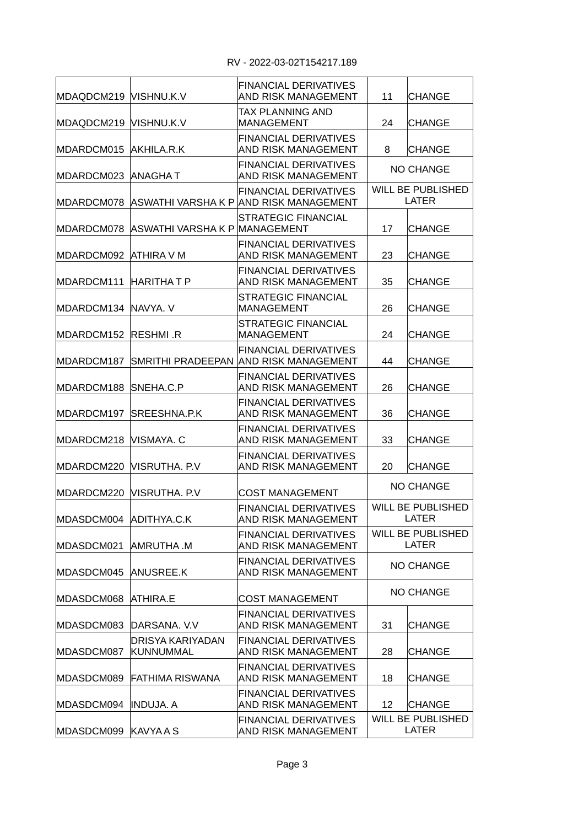| MDAQDCM219 VISHNU.K.V   |                               | <b>FINANCIAL DERIVATIVES</b><br>AND RISK MANAGEMENT                                 | 11               | <b>CHANGE</b>                            |
|-------------------------|-------------------------------|-------------------------------------------------------------------------------------|------------------|------------------------------------------|
| MDAQDCM219 VISHNU.K.V   |                               | TAX PLANNING AND<br><b>MANAGEMENT</b>                                               | 24               | CHANGE                                   |
| MDARDCM015              | AKHILA.R.K                    | <b>FINANCIAL DERIVATIVES</b><br>AND RISK MANAGEMENT                                 | 8                | <b>CHANGE</b>                            |
| MDARDCM023  ANAGHA T    |                               | FINANCIAL DERIVATIVES<br>AND RISK MANAGEMENT                                        |                  | <b>NO CHANGE</b>                         |
|                         |                               | <b>FINANCIAL DERIVATIVES</b><br>MDARDCM078  ASWATHI VARSHA K P  AND RISK MANAGEMENT |                  | <b>WILL BE PUBLISHED</b><br><b>LATER</b> |
| MDARDCM078              | ASWATHI VARSHA K P MANAGEMENT | <b>STRATEGIC FINANCIAL</b>                                                          | 17               | <b>CHANGE</b>                            |
| MDARDCM092  ATHIRA V M  |                               | <b>FINANCIAL DERIVATIVES</b><br>AND RISK MANAGEMENT                                 | 23               | <b>CHANGE</b>                            |
| MDARDCM111  HARITHA T P |                               | <b>FINANCIAL DERIVATIVES</b><br>AND RISK MANAGEMENT                                 | 35               | <b>CHANGE</b>                            |
| MDARDCM134              | <b>NAVYA, V</b>               | STRATEGIC FINANCIAL<br><b>MANAGEMENT</b>                                            | 26               | <b>CHANGE</b>                            |
| MDARDCM152              | RESHMI .R                     | <b>STRATEGIC FINANCIAL</b><br><b>MANAGEMENT</b>                                     | 24               | <b>CHANGE</b>                            |
| MDARDCM187              | <b>SMRITHI PRADEEPAN</b>      | <b>FINANCIAL DERIVATIVES</b><br><b>AND RISK MANAGEMENT</b>                          | 44               | <b>CHANGE</b>                            |
| MDARDCM188              | <b>ISNEHA.C.P</b>             | <b>FINANCIAL DERIVATIVES</b><br>AND RISK MANAGEMENT                                 | 26               | <b>CHANGE</b>                            |
| MDARDCM197              | SREESHNA.P.K                  | <b>FINANCIAL DERIVATIVES</b><br>AND RISK MANAGEMENT                                 | 36               | <b>CHANGE</b>                            |
| MDARDCM218              | VISMAYA. C                    | <b>FINANCIAL DERIVATIVES</b><br>AND RISK MANAGEMENT                                 | 33               | <b>CHANGE</b>                            |
| MDARDCM220              | VISRUTHA. P.V.                | <b>FINANCIAL DERIVATIVES</b><br>AND RISK MANAGEMENT                                 | 20               | <b>CHANGE</b>                            |
| MDARDCM220              | VISRUTHA. P.V                 | <b>COST MANAGEMENT</b>                                                              |                  | <b>NO CHANGE</b>                         |
| MDASDCM004 ADITHYA.C.K  |                               | <b>FINANCIAL DERIVATIVES</b><br>AND RISK MANAGEMENT                                 |                  | <b>WILL BE PUBLISHED</b><br><b>LATER</b> |
| MDASDCM021              | AMRUTHA .M                    | <b>FINANCIAL DERIVATIVES</b><br>AND RISK MANAGEMENT                                 |                  | <b>WILL BE PUBLISHED</b><br><b>LATER</b> |
| MDASDCM045              | ANUSREE.K                     | <b>FINANCIAL DERIVATIVES</b><br>AND RISK MANAGEMENT                                 | <b>NO CHANGE</b> |                                          |
| MDASDCM068              | <b>ATHIRA.E</b>               | <b>COST MANAGEMENT</b>                                                              |                  | <b>NO CHANGE</b>                         |
| MDASDCM083              | DARSANA, V.V                  | <b>FINANCIAL DERIVATIVES</b><br>AND RISK MANAGEMENT                                 | 31               | <b>CHANGE</b>                            |
| MDASDCM087              | DRISYA KARIYADAN<br>KUNNUMMAL | <b>FINANCIAL DERIVATIVES</b><br>AND RISK MANAGEMENT                                 | 28               | <b>CHANGE</b>                            |
| MDASDCM089              | FATHIMA RISWANA               | <b>FINANCIAL DERIVATIVES</b><br>AND RISK MANAGEMENT                                 | 18               | <b>CHANGE</b>                            |
| MDASDCM094              | INDUJA. A                     | <b>FINANCIAL DERIVATIVES</b><br>AND RISK MANAGEMENT                                 | 12               | <b>CHANGE</b>                            |
| MDASDCM099              | KAVYA A S                     | <b>FINANCIAL DERIVATIVES</b><br>AND RISK MANAGEMENT                                 |                  | <b>WILL BE PUBLISHED</b><br><b>LATER</b> |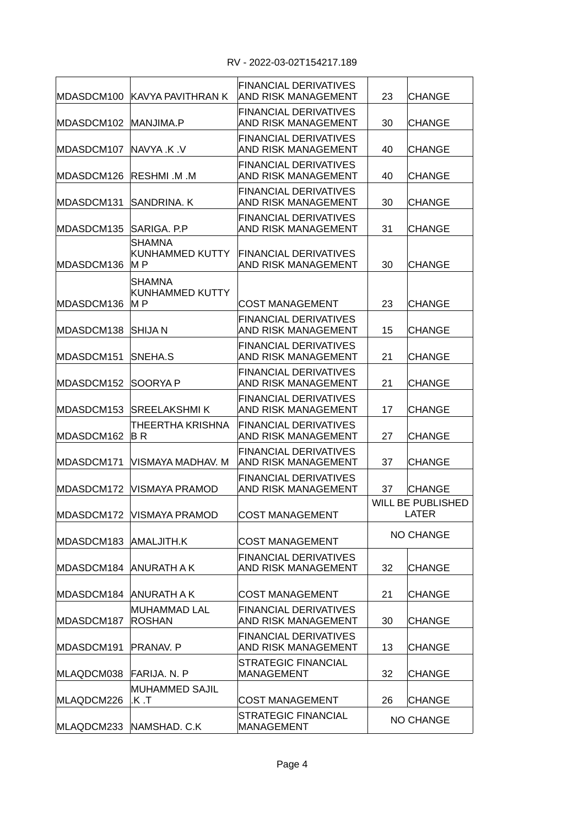| MDASDCM100 | IKAVYA PAVITHRAN K                      | <b>FINANCIAL DERIVATIVES</b><br>IAND RISK MANAGEMENT       | 23 | <b>CHANGE</b>                     |
|------------|-----------------------------------------|------------------------------------------------------------|----|-----------------------------------|
| MDASDCM102 | MANJIMA.P                               | <b>FINANCIAL DERIVATIVES</b><br><b>AND RISK MANAGEMENT</b> | 30 | <b>CHANGE</b>                     |
| MDASDCM107 | INAVYA .K .V                            | FINANCIAL DERIVATIVES<br>AND RISK MANAGEMENT               | 40 | <b>CHANGE</b>                     |
| MDASDCM126 | IRESHMI .M .M                           | FINANCIAL DERIVATIVES<br><b>AND RISK MANAGEMENT</b>        | 40 | <b>CHANGE</b>                     |
| MDASDCM131 | SANDRINA, K                             | <b>FINANCIAL DERIVATIVES</b><br><b>AND RISK MANAGEMENT</b> | 30 | <b>CHANGE</b>                     |
| MDASDCM135 | SARIGA, P.P.                            | <b>FINANCIAL DERIVATIVES</b><br><b>AND RISK MANAGEMENT</b> | 31 | <b>CHANGE</b>                     |
| MDASDCM136 | <b>SHAMNA</b><br>KUNHAMMED KUTTY<br>M P | <b>FINANCIAL DERIVATIVES</b><br><b>AND RISK MANAGEMENT</b> | 30 | <b>CHANGE</b>                     |
| MDASDCM136 | <b>SHAMNA</b><br>KUNHAMMED KUTTY<br>M P | <b>COST MANAGEMENT</b>                                     | 23 | <b>CHANGE</b>                     |
| MDASDCM138 | <b>SHIJAN</b>                           | <b>FINANCIAL DERIVATIVES</b><br>AND RISK MANAGEMENT        | 15 | <b>CHANGE</b>                     |
| MDASDCM151 | SNEHA.S                                 | <b>FINANCIAL DERIVATIVES</b><br>AND RISK MANAGEMENT        | 21 | <b>CHANGE</b>                     |
| MDASDCM152 | SOORYA P                                | <b>FINANCIAL DERIVATIVES</b><br>AND RISK MANAGEMENT        | 21 | <b>CHANGE</b>                     |
| MDASDCM153 | <b>SREELAKSHMI K</b>                    | <b>FINANCIAL DERIVATIVES</b><br>AND RISK MANAGEMENT        | 17 | <b>CHANGE</b>                     |
| MDASDCM162 | <b>THEERTHA KRISHNA</b><br>B R          | <b>FINANCIAL DERIVATIVES</b><br><b>AND RISK MANAGEMENT</b> | 27 | <b>CHANGE</b>                     |
| MDASDCM171 | VISMAYA MADHAV. M                       | <b>FINANCIAL DERIVATIVES</b><br><b>AND RISK MANAGEMENT</b> | 37 | <b>CHANGE</b>                     |
| MDASDCM172 | VISMAYA PRAMOD                          | <b>FINANCIAL DERIVATIVES</b><br>AND RISK MANAGEMENT        | 37 | <b>CHANGE</b>                     |
|            | MDASDCM172 VISMAYA PRAMOD               | COST MANAGEMENT                                            |    | <b>WILL BE PUBLISHED</b><br>LATER |
| MDASDCM183 | AMALJITH.K                              | <b>COST MANAGEMENT</b>                                     |    | <b>NO CHANGE</b>                  |
| MDASDCM184 | IANURATH A K                            | <b>FINANCIAL DERIVATIVES</b><br>AND RISK MANAGEMENT        | 32 | <b>CHANGE</b>                     |
| MDASDCM184 | IANURATH A K                            | <b>COST MANAGEMENT</b>                                     | 21 | <b>CHANGE</b>                     |
| MDASDCM187 | MUHAMMAD LAL<br><b>ROSHAN</b>           | <b>FINANCIAL DERIVATIVES</b><br>AND RISK MANAGEMENT        | 30 | <b>CHANGE</b>                     |
| MDASDCM191 | PRANAV. P                               | <b>FINANCIAL DERIVATIVES</b><br><b>AND RISK MANAGEMENT</b> | 13 | <b>CHANGE</b>                     |
| MLAQDCM038 | FARIJA. N. P                            | STRATEGIC FINANCIAL<br><b>MANAGEMENT</b>                   | 32 | <b>CHANGE</b>                     |
| MLAQDCM226 | MUHAMMED SAJIL<br>.K .T                 | <b>COST MANAGEMENT</b>                                     | 26 | <b>CHANGE</b>                     |
|            | MLAQDCM233 NAMSHAD. C.K                 | <b>STRATEGIC FINANCIAL</b><br><b>MANAGEMENT</b>            |    | NO CHANGE                         |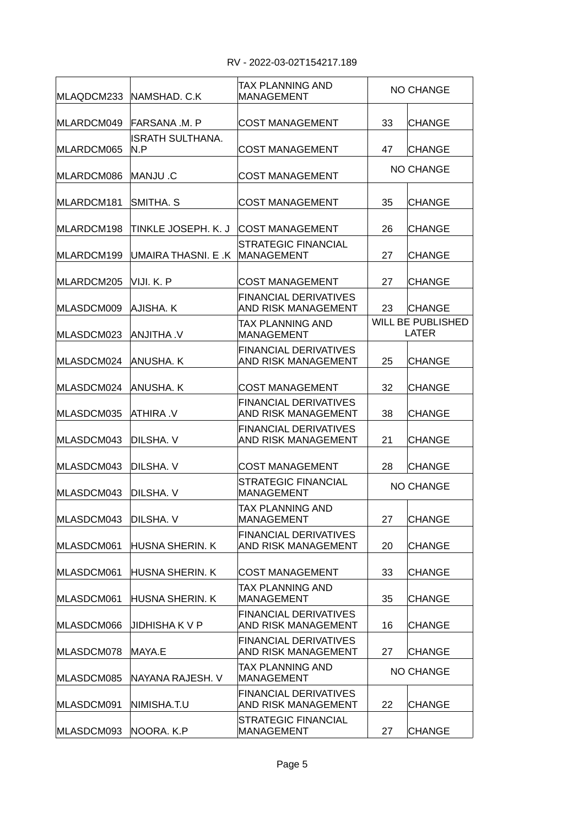| MLAQDCM233 | INAMSHAD. C.K           | TAX PLANNING AND<br><b>MANAGEMENT</b>               |    | <b>NO CHANGE</b>                         |
|------------|-------------------------|-----------------------------------------------------|----|------------------------------------------|
| MLARDCM049 | IFARSANA .M. P          | <b>COST MANAGEMENT</b>                              | 33 | CHANGE                                   |
| MLARDCM065 | ISRATH SULTHANA.<br>N.P | <b>COST MANAGEMENT</b>                              | 47 | CHANGE                                   |
| MLARDCM086 | IMANJU .C               | <b>COST MANAGEMENT</b>                              |    | <b>NO CHANGE</b>                         |
| MLARDCM181 | ISMITHA. S              | <b>COST MANAGEMENT</b>                              | 35 | <b>CHANGE</b>                            |
| MLARDCM198 | TINKLE JOSEPH. K. J     | <b>COST MANAGEMENT</b>                              | 26 | <b>CHANGE</b>                            |
| MLARDCM199 | UMAIRA THASNI. E .K     | <b>STRATEGIC FINANCIAL</b><br>MANAGEMENT            | 27 | <b>CHANGE</b>                            |
| MLARDCM205 | IVIJI. K. P             | <b>COST MANAGEMENT</b>                              | 27 | CHANGE                                   |
| MLASDCM009 | AJISHA. K               | <b>FINANCIAL DERIVATIVES</b><br>AND RISK MANAGEMENT | 23 | <b>CHANGE</b>                            |
| MLASDCM023 | V. AHTIUNA              | TAX PLANNING AND<br><b>MANAGEMENT</b>               |    | <b>WILL BE PUBLISHED</b><br><b>LATER</b> |
| MLASDCM024 | ANUSHA. K               | <b>FINANCIAL DERIVATIVES</b><br>AND RISK MANAGEMENT | 25 | <b>CHANGE</b>                            |
| MLASDCM024 | IANUSHA. K              | <b>COST MANAGEMENT</b>                              | 32 | <b>CHANGE</b>                            |
| MLASDCM035 | IATHIRA .V              | <b>FINANCIAL DERIVATIVES</b><br>AND RISK MANAGEMENT | 38 | <b>CHANGE</b>                            |
| MLASDCM043 | DILSHA. V               | <b>FINANCIAL DERIVATIVES</b><br>AND RISK MANAGEMENT | 21 | <b>CHANGE</b>                            |
| MLASDCM043 | DILSHA. V               | <b>COST MANAGEMENT</b>                              | 28 | <b>CHANGE</b>                            |
| MLASDCM043 | IDILSHA. V              | STRATEGIC FINANCIAL<br><b>MANAGEMENT</b>            |    | <b>NO CHANGE</b>                         |
| MLASDCM043 | DILSHA. V               | TAX PLANNING AND<br><b>MANAGEMENT</b>               | 27 | <b>CHANGE</b>                            |
| MLASDCM061 | HUSNA SHERIN. K         | <b>FINANCIAL DERIVATIVES</b><br>AND RISK MANAGEMENT | 20 | <b>CHANGE</b>                            |
| MLASDCM061 | HUSNA SHERIN. K         | <b>COST MANAGEMENT</b>                              | 33 | <b>CHANGE</b>                            |
| MLASDCM061 | IHUSNA SHERIN. K        | TAX PLANNING AND<br><b>MANAGEMENT</b>               | 35 | <b>CHANGE</b>                            |
| MLASDCM066 | JIDHISHA K V P          | FINANCIAL DERIVATIVES<br>AND RISK MANAGEMENT        | 16 | <b>CHANGE</b>                            |
| MLASDCM078 | MAYA.E                  | FINANCIAL DERIVATIVES<br>AND RISK MANAGEMENT        | 27 | <b>CHANGE</b>                            |
| MLASDCM085 | INAYANA RAJESH. V       | TAX PLANNING AND<br>MANAGEMENT                      |    | <b>NO CHANGE</b>                         |
| MLASDCM091 | INIMISHA.T.U            | <b>FINANCIAL DERIVATIVES</b><br>AND RISK MANAGEMENT | 22 | <b>CHANGE</b>                            |
| MLASDCM093 | NOORA. K.P              | STRATEGIC FINANCIAL<br><b>MANAGEMENT</b>            | 27 | <b>CHANGE</b>                            |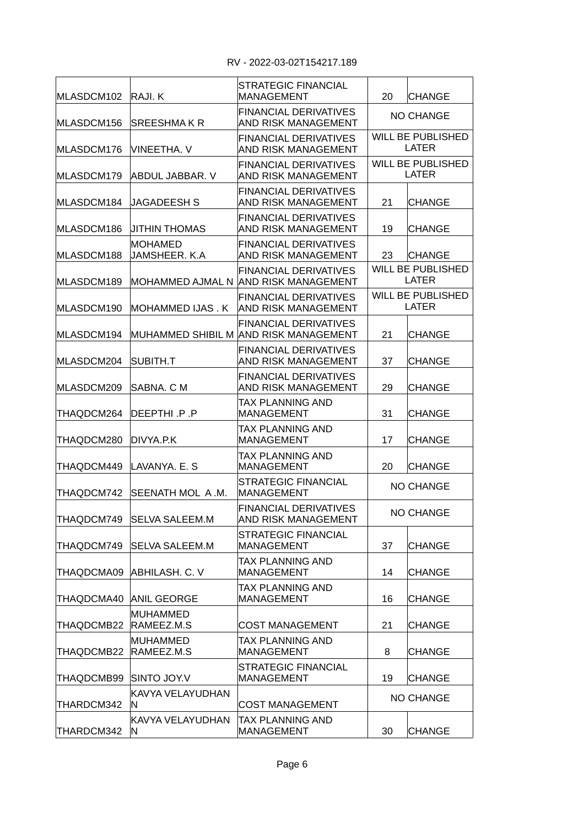| MLASDCM102 | RAJI. K                       | <b>STRATEGIC FINANCIAL</b><br><b>MANAGEMENT</b>                       | 20 | <b>CHANGE</b>                            |
|------------|-------------------------------|-----------------------------------------------------------------------|----|------------------------------------------|
| MLASDCM156 | <b>SREESHMAKR</b>             | <b>FINANCIAL DERIVATIVES</b><br>AND RISK MANAGEMENT                   |    | <b>NO CHANGE</b>                         |
| MLASDCM176 | <b>VINEETHA, V</b>            | <b>FINANCIAL DERIVATIVES</b><br>AND RISK MANAGEMENT                   |    | <b>WILL BE PUBLISHED</b><br><b>LATER</b> |
| MLASDCM179 | ABDUL JABBAR. V               | <b>FINANCIAL DERIVATIVES</b><br><b>AND RISK MANAGEMENT</b>            |    | <b>WILL BE PUBLISHED</b><br><b>LATER</b> |
| MLASDCM184 | IJAGADEESH S                  | <b>FINANCIAL DERIVATIVES</b><br><b>AND RISK MANAGEMENT</b>            | 21 | <b>CHANGE</b>                            |
| MLASDCM186 | JITHIN THOMAS                 | <b>FINANCIAL DERIVATIVES</b><br>AND RISK MANAGEMENT                   | 19 | <b>CHANGE</b>                            |
| MLASDCM188 | MOHAMED<br>JAMSHEER. K.A      | <b>FINANCIAL DERIVATIVES</b><br>AND RISK MANAGEMENT                   | 23 | <b>CHANGE</b>                            |
| MLASDCM189 |                               | <b>FINANCIAL DERIVATIVES</b><br>MOHAMMED AJMAL N AND RISK MANAGEMENT  |    | <b>WILL BE PUBLISHED</b><br><b>LATER</b> |
| MLASDCM190 | MOHAMMED IJAS . K             | FINANCIAL DERIVATIVES<br>AND RISK MANAGEMENT                          |    | <b>WILL BE PUBLISHED</b><br><b>LATER</b> |
| MLASDCM194 |                               | <b>FINANCIAL DERIVATIVES</b><br>MUHAMMED SHIBIL M AND RISK MANAGEMENT | 21 | <b>CHANGE</b>                            |
| MLASDCM204 | SUBITH.T                      | <b>FINANCIAL DERIVATIVES</b><br>AND RISK MANAGEMENT                   | 37 | <b>CHANGE</b>                            |
| MLASDCM209 | SABNA. C M                    | <b>FINANCIAL DERIVATIVES</b><br>AND RISK MANAGEMENT                   | 29 | <b>CHANGE</b>                            |
| THAQDCM264 | DEEPTHI .P .P                 | TAX PLANNING AND<br><b>MANAGEMENT</b>                                 | 31 | <b>CHANGE</b>                            |
| THAQDCM280 | DIVYA.P.K                     | TAX PLANNING AND<br><b>MANAGEMENT</b>                                 | 17 | <b>CHANGE</b>                            |
| THAQDCM449 | LAVANYA. E. S                 | TAX PLANNING AND<br><b>MANAGEMENT</b>                                 | 20 | <b>CHANGE</b>                            |
| THAQDCM742 | SEENATH MOL A.M.              | <b>STRATEGIC FINANCIAL</b><br><b>MANAGEMENT</b>                       |    | <b>NO CHANGE</b>                         |
| THAQDCM749 | <b>SELVA SALEEM.M</b>         | FINANCIAL DERIVATIVES<br>AND RISK MANAGEMENT                          |    | <b>NO CHANGE</b>                         |
| THAQDCM749 | <b>SELVA SALEEM.M</b>         | <b>STRATEGIC FINANCIAL</b><br><b>MANAGEMENT</b>                       | 37 | <b>CHANGE</b>                            |
| THAQDCMA09 | ABHILASH. C. V                | TAX PLANNING AND<br><b>MANAGEMENT</b>                                 | 14 | <b>CHANGE</b>                            |
| THAQDCMA40 | <b>ANIL GEORGE</b>            | TAX PLANNING AND<br><b>MANAGEMENT</b>                                 | 16 | <b>CHANGE</b>                            |
| THAQDCMB22 | <b>MUHAMMED</b><br>RAMEEZ.M.S | <b>COST MANAGEMENT</b>                                                | 21 | <b>CHANGE</b>                            |
| THAQDCMB22 | MUHAMMED<br>RAMEEZ.M.S        | TAX PLANNING AND<br><b>MANAGEMENT</b>                                 | 8  | <b>CHANGE</b>                            |
| THAQDCMB99 | SINTO JOY.V                   | STRATEGIC FINANCIAL<br>MANAGEMENT                                     | 19 | <b>CHANGE</b>                            |
| THARDCM342 | KAVYA VELAYUDHAN<br>IN.       | <b>COST MANAGEMENT</b>                                                |    | <b>NO CHANGE</b>                         |
| THARDCM342 | KAVYA VELAYUDHAN<br>IN.       | TAX PLANNING AND<br><b>MANAGEMENT</b>                                 | 30 | <b>CHANGE</b>                            |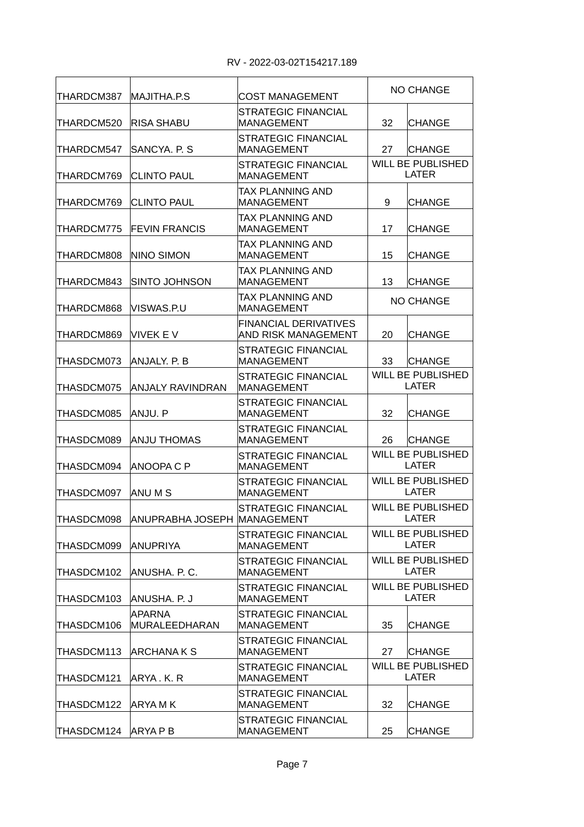| THARDCM387 | MAJITHA.P.S                 | COST MANAGEMENT                                     | <b>NO CHANGE</b>                         |                                          |
|------------|-----------------------------|-----------------------------------------------------|------------------------------------------|------------------------------------------|
| THARDCM520 | <b>RISA SHABU</b>           | STRATEGIC FINANCIAL<br><b>MANAGEMENT</b>            | 32                                       | <b>CHANGE</b>                            |
| THARDCM547 | SANCYA, P. S.               | <b>STRATEGIC FINANCIAL</b><br><b>MANAGEMENT</b>     | 27                                       | <b>CHANGE</b>                            |
| THARDCM769 | <b>CLINTO PAUL</b>          | <b>STRATEGIC FINANCIAL</b><br><b>MANAGEMENT</b>     |                                          | <b>WILL BE PUBLISHED</b><br><b>LATER</b> |
| THARDCM769 | ICLINTO PAUL                | TAX PLANNING AND<br><b>MANAGEMENT</b>               | 9                                        | <b>CHANGE</b>                            |
| THARDCM775 | <b>FEVIN FRANCIS</b>        | TAX PLANNING AND<br><b>MANAGEMENT</b>               | 17                                       | <b>CHANGE</b>                            |
| THARDCM808 | NINO SIMON                  | TAX PLANNING AND<br>MANAGEMENT                      | 15                                       | <b>CHANGE</b>                            |
| THARDCM843 | <b>SINTO JOHNSON</b>        | TAX PLANNING AND<br><b>MANAGEMENT</b>               | 13                                       | <b>CHANGE</b>                            |
| THARDCM868 | VISWAS.P.U                  | TAX PLANNING AND<br>MANAGEMENT                      |                                          | <b>NO CHANGE</b>                         |
| THARDCM869 | VIVEK E V                   | <b>FINANCIAL DERIVATIVES</b><br>AND RISK MANAGEMENT | 20                                       | <b>CHANGE</b>                            |
| THASDCM073 | Anjaly. P. B                | STRATEGIC FINANCIAL<br><b>MANAGEMENT</b>            | 33                                       | <b>CHANGE</b>                            |
| THASDCM075 | ANJALY RAVINDRAN            | STRATEGIC FINANCIAL<br><b>MANAGEMENT</b>            | <b>WILL BE PUBLISHED</b><br><b>LATER</b> |                                          |
| THASDCM085 | ANJU. P                     | STRATEGIC FINANCIAL<br>MANAGEMENT                   | 32                                       | <b>CHANGE</b>                            |
| THASDCM089 | ANJU THOMAS                 | STRATEGIC FINANCIAL<br><b>MANAGEMENT</b>            | 26                                       | <b>CHANGE</b>                            |
| THASDCM094 | ANOOPA C P                  | STRATEGIC FINANCIAL<br><b>MANAGEMENT</b>            | <b>WILL BE PUBLISHED</b><br><b>LATER</b> |                                          |
| THASDCM097 | IANU M S                    | <b>STRATEGIC FINANCIAL</b><br><b>MANAGEMENT</b>     | <b>WILL BE PUBLISHED</b><br><b>LATER</b> |                                          |
| THASDCM098 | ANUPRABHA JOSEPH MANAGEMENT | <b>STRATEGIC FINANCIAL</b>                          | <b>WILL BE PUBLISHED</b><br>LATER        |                                          |
| THASDCM099 | ANUPRIYA                    | <b>STRATEGIC FINANCIAL</b><br><b>MANAGEMENT</b>     | <b>WILL BE PUBLISHED</b><br><b>LATER</b> |                                          |
| THASDCM102 | ANUSHA. P. C.               | <b>STRATEGIC FINANCIAL</b><br><b>MANAGEMENT</b>     | <b>WILL BE PUBLISHED</b><br><b>LATER</b> |                                          |
| THASDCM103 | ANUSHA. P. J                | <b>STRATEGIC FINANCIAL</b><br><b>MANAGEMENT</b>     |                                          | <b>WILL BE PUBLISHED</b><br><b>LATER</b> |
| THASDCM106 | APARNA<br>MURALEEDHARAN     | <b>STRATEGIC FINANCIAL</b><br>MANAGEMENT            | 35                                       | <b>CHANGE</b>                            |
| THASDCM113 | ARCHANA K S                 | STRATEGIC FINANCIAL<br><b>MANAGEMENT</b>            | 27                                       | <b>CHANGE</b>                            |
| THASDCM121 | ARYA . K. R                 | STRATEGIC FINANCIAL<br><b>MANAGEMENT</b>            |                                          | <b>WILL BE PUBLISHED</b><br><b>LATER</b> |
| THASDCM122 | IARYA M K                   | STRATEGIC FINANCIAL<br><b>MANAGEMENT</b>            | 32                                       | CHANGE                                   |
| THASDCM124 | IARYA P B                   | STRATEGIC FINANCIAL<br><b>MANAGEMENT</b>            | 25                                       | <b>CHANGE</b>                            |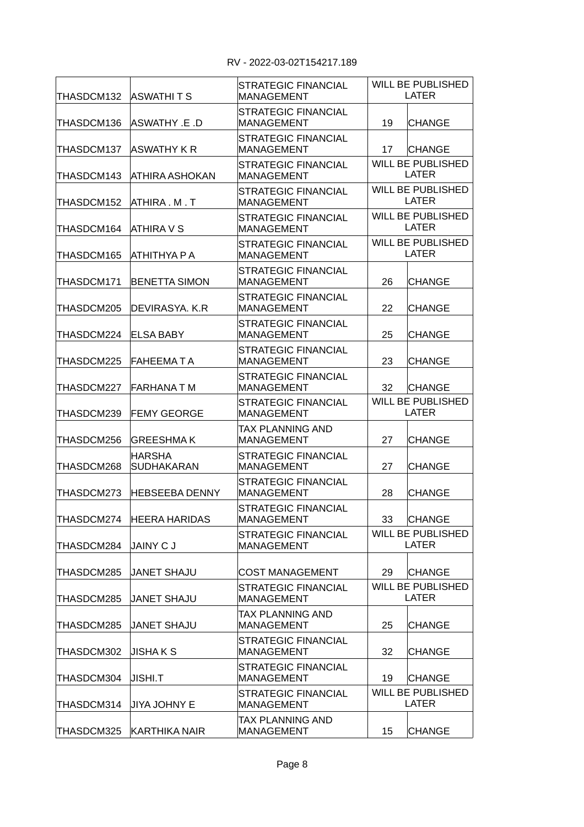| THASDCM132 | <b>ASWATHITS</b>                   | <b>STRATEGIC FINANCIAL</b><br><b>MANAGEMENT</b> | <b>WILL BE PUBLISHED</b><br><b>LATER</b> |  |
|------------|------------------------------------|-------------------------------------------------|------------------------------------------|--|
| THASDCM136 | ASWATHY .E .D                      | STRATEGIC FINANCIAL<br><b>MANAGEMENT</b>        | 19<br><b>CHANGE</b>                      |  |
| THASDCM137 | ASWATHY K R                        | <b>STRATEGIC FINANCIAL</b><br><b>MANAGEMENT</b> | 17<br><b>CHANGE</b>                      |  |
| THASDCM143 | ATHIRA ASHOKAN                     | STRATEGIC FINANCIAL<br><b>MANAGEMENT</b>        | <b>WILL BE PUBLISHED</b><br><b>LATER</b> |  |
| THASDCM152 | ATHIRA M T                         | <b>STRATEGIC FINANCIAL</b><br><b>MANAGEMENT</b> | <b>WILL BE PUBLISHED</b><br>LATER        |  |
| THASDCM164 | ATHIRA V S                         | STRATEGIC FINANCIAL<br><b>MANAGEMENT</b>        | <b>WILL BE PUBLISHED</b><br><b>LATER</b> |  |
| THASDCM165 | АТНІТНҮА Р А                       | <b>STRATEGIC FINANCIAL</b><br><b>MANAGEMENT</b> | <b>WILL BE PUBLISHED</b><br><b>LATER</b> |  |
| THASDCM171 | <b>BENETTA SIMON</b>               | <b>STRATEGIC FINANCIAL</b><br><b>MANAGEMENT</b> | 26<br><b>CHANGE</b>                      |  |
| THASDCM205 | DEVIRASYA, K.R                     | STRATEGIC FINANCIAL<br><b>MANAGEMENT</b>        | 22<br><b>CHANGE</b>                      |  |
| THASDCM224 | <b>ELSA BABY</b>                   | STRATEGIC FINANCIAL<br><b>MANAGEMENT</b>        | 25<br><b>CHANGE</b>                      |  |
| THASDCM225 | <b>FAHEEMATA</b>                   | <b>STRATEGIC FINANCIAL</b><br><b>MANAGEMENT</b> | 23<br><b>CHANGE</b>                      |  |
| THASDCM227 | FARHANA T M                        | <b>STRATEGIC FINANCIAL</b><br><b>MANAGEMENT</b> | 32<br><b>CHANGE</b>                      |  |
| THASDCM239 | <b>FEMY GEORGE</b>                 | STRATEGIC FINANCIAL<br><b>MANAGEMENT</b>        | WILL BE PUBLISHED<br><b>LATER</b>        |  |
| THASDCM256 | <b>GREESHMAK</b>                   | TAX PLANNING AND<br><b>MANAGEMENT</b>           | 27<br><b>CHANGE</b>                      |  |
| THASDCM268 | <b>HARSHA</b><br><b>SUDHAKARAN</b> | STRATEGIC FINANCIAL<br><b>MANAGEMENT</b>        | 27<br><b>CHANGE</b>                      |  |
| THASDCM273 | <b>HEBSEEBA DENNY</b>              | STRATEGIC FINANCIAL<br><b>MANAGEMENT</b>        | 28<br><b>CHANGE</b>                      |  |
| THASDCM274 | <b>HEERA HARIDAS</b>               | <b>STRATEGIC FINANCIAL</b><br>MANAGEMEN I       | 33<br><b>CHANGE</b>                      |  |
| THASDCM284 | JAINY CJ                           | <b>STRATEGIC FINANCIAL</b><br><b>MANAGEMENT</b> | <b>WILL BE PUBLISHED</b><br><b>LATER</b> |  |
| THASDCM285 | <b>JANET SHAJU</b>                 | <b>COST MANAGEMENT</b>                          | 29<br><b>CHANGE</b>                      |  |
| THASDCM285 | <b>JANET SHAJU</b>                 | <b>STRATEGIC FINANCIAL</b><br><b>MANAGEMENT</b> | <b>WILL BE PUBLISHED</b><br><b>LATER</b> |  |
| THASDCM285 | <b>JANET SHAJU</b>                 | TAX PLANNING AND<br>MANAGEMENT                  | 25<br><b>CHANGE</b>                      |  |
| THASDCM302 | <b>JISHAKS</b>                     | <b>STRATEGIC FINANCIAL</b><br><b>MANAGEMENT</b> | 32<br><b>CHANGE</b>                      |  |
| THASDCM304 | JISHI.T                            | STRATEGIC FINANCIAL<br>MANAGEMENT               | 19<br><b>CHANGE</b>                      |  |
| THASDCM314 | <b>JIYA JOHNY E</b>                | <b>STRATEGIC FINANCIAL</b><br><b>MANAGEMENT</b> | <b>WILL BE PUBLISHED</b><br>LATER        |  |
| THASDCM325 | <b>KARTHIKA NAIR</b>               | TAX PLANNING AND<br><b>MANAGEMENT</b>           | 15<br><b>CHANGE</b>                      |  |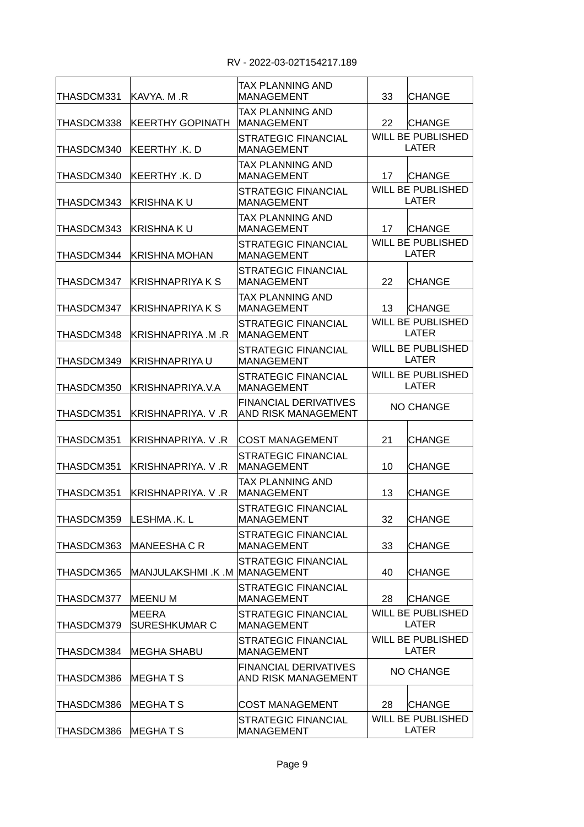| ITHASDCM331 | IKAVYA. M .R                  | TAX PLANNING AND<br>MANAGEMENT                      | 33                                       | CHANGE                                   |
|-------------|-------------------------------|-----------------------------------------------------|------------------------------------------|------------------------------------------|
| THASDCM338  | <b>KEERTHY GOPINATH</b>       | TAX PLANNING AND<br><b>MANAGEMENT</b>               | 22                                       | <b>CHANGE</b>                            |
| THASDCM340  | KEERTHY K. D                  | STRATEGIC FINANCIAL<br><b>MANAGEMENT</b>            |                                          | <b>WILL BE PUBLISHED</b><br><b>LATER</b> |
| THASDCM340  | KEERTHY .K. D                 | TAX PLANNING AND<br><b>MANAGEMENT</b>               | 17                                       | <b>CHANGE</b>                            |
| THASDCM343  | KRISHNA K U                   | STRATEGIC FINANCIAL<br><b>MANAGEMENT</b>            |                                          | <b>WILL BE PUBLISHED</b><br><b>LATER</b> |
| THASDCM343  | KRISHNA K U                   | TAX PLANNING AND<br><b>MANAGEMENT</b>               | 17                                       | <b>CHANGE</b>                            |
| THASDCM344  | IKRISHNA MOHAN                | STRATEGIC FINANCIAL<br><b>MANAGEMENT</b>            |                                          | <b>WILL BE PUBLISHED</b><br><b>LATER</b> |
| THASDCM347  | KRISHNAPRIYA K S              | STRATEGIC FINANCIAL<br><b>MANAGEMENT</b>            | 22                                       | <b>CHANGE</b>                            |
| THASDCM347  | IKRISHNAPRIYA K S             | TAX PLANNING AND<br><b>MANAGEMENT</b>               | 13                                       | <b>CHANGE</b>                            |
| THASDCM348  | KRISHNAPRIYA M .R             | STRATEGIC FINANCIAL<br>MANAGEMENT                   | <b>WILL BE PUBLISHED</b><br>LATER        |                                          |
| THASDCM349  | KRISHNAPRIYA U                | <b>STRATEGIC FINANCIAL</b><br><b>MANAGEMENT</b>     | <b>WILL BE PUBLISHED</b><br><b>LATER</b> |                                          |
| THASDCM350  | KRISHNAPRIYA V.A              | <b>STRATEGIC FINANCIAL</b><br><b>MANAGEMENT</b>     | <b>WILL BE PUBLISHED</b><br>LATER        |                                          |
| THASDCM351  | KRISHNAPRIYA V R              | <b>FINANCIAL DERIVATIVES</b><br>AND RISK MANAGEMENT | <b>NO CHANGE</b>                         |                                          |
| THASDCM351  | KRISHNAPRIYA. V.R             | COST MANAGEMENT                                     | 21                                       | CHANGE                                   |
| THASDCM351  | KRISHNAPRIYA. V.R             | STRATEGIC FINANCIAL<br>MANAGEMENT                   | 10                                       | <b>CHANGE</b>                            |
| THASDCM351  | KRISHNAPRIYA V R              | TAX PLANNING AND<br>MANAGEMENT                      | 13                                       | CHANGE                                   |
| THASDCM359  | LESHMA .K. L                  | STRATEGIC FINANCIAL<br><b>MANAGEMENT</b>            | 32                                       | <b>CHANGE</b>                            |
| THASDCM363  | MANEESHA C R                  | <b>STRATEGIC FINANCIAL</b><br><b>MANAGEMENT</b>     | 33                                       | <b>CHANGE</b>                            |
| THASDCM365  | MANJULAKSHMI .K .M MANAGEMENT | STRATEGIC FINANCIAL                                 | 40                                       | <b>CHANGE</b>                            |
| THASDCM377  | <b>MEENUM</b>                 | STRATEGIC FINANCIAL<br>MANAGEMENT                   | 28                                       | <b>CHANGE</b>                            |
| THASDCM379  | MEERA<br><b>SURESHKUMAR C</b> | <b>STRATEGIC FINANCIAL</b><br><b>MANAGEMENT</b>     | <b>WILL BE PUBLISHED</b><br><b>LATER</b> |                                          |
| THASDCM384  | <b>MEGHA SHABU</b>            | STRATEGIC FINANCIAL<br><b>MANAGEMENT</b>            | WILL BE PUBLISHED<br><b>LATER</b>        |                                          |
| THASDCM386  | MEGHA T S                     | <b>FINANCIAL DERIVATIVES</b><br>AND RISK MANAGEMENT | <b>NO CHANGE</b>                         |                                          |
| THASDCM386  | MEGHA T S                     | <b>COST MANAGEMENT</b>                              | 28                                       | <b>CHANGE</b>                            |
| THASDCM386  | MEGHAT <sub>S</sub>           | STRATEGIC FINANCIAL<br><b>MANAGEMENT</b>            | <b>WILL BE PUBLISHED</b><br><b>LATER</b> |                                          |

<u> 1980 - Johann Barbara, martxa alemaniar a</u>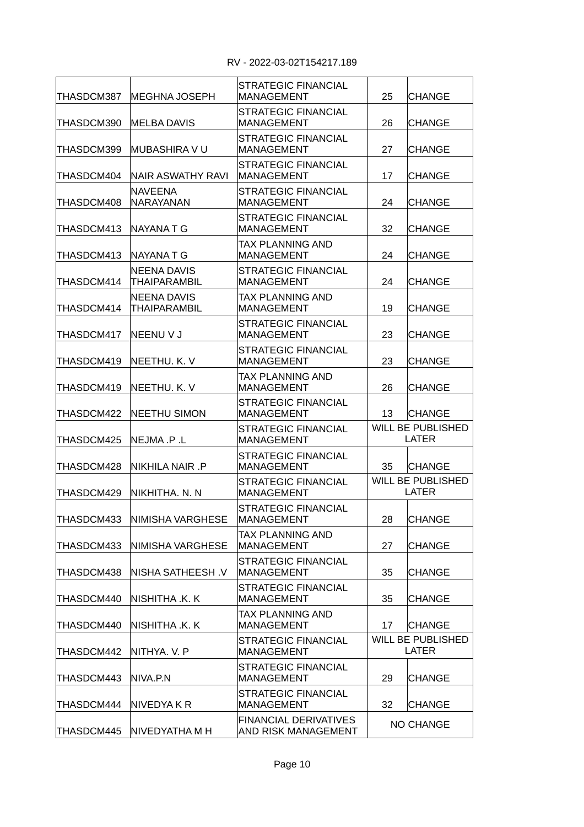| THASDCM387 | IMEGHNA JOSEPH               | STRATEGIC FINANCIAL<br><b>MANAGEMENT</b>            | 25                                       | <b>CHANGE</b>                            |
|------------|------------------------------|-----------------------------------------------------|------------------------------------------|------------------------------------------|
| THASDCM390 | IMELBA DAVIS                 | <b>STRATEGIC FINANCIAL</b><br><b>MANAGEMENT</b>     | 26                                       | <b>CHANGE</b>                            |
| THASDCM399 | MUBASHIRA V U                | <b>STRATEGIC FINANCIAL</b><br><b>MANAGEMENT</b>     | 27                                       | <b>CHANGE</b>                            |
| THASDCM404 | NAIR ASWATHY RAVI            | STRATEGIC FINANCIAL<br><b>MANAGEMENT</b>            | 17                                       | <b>CHANGE</b>                            |
| THASDCM408 | INAVEENA<br>NARAYANAN        | <b>STRATEGIC FINANCIAL</b><br><b>MANAGEMENT</b>     | 24                                       | <b>CHANGE</b>                            |
| THASDCM413 | NAYANA T G                   | <b>STRATEGIC FINANCIAL</b><br><b>MANAGEMENT</b>     | 32                                       | <b>CHANGE</b>                            |
| THASDCM413 | INAYANA T G                  | TAX PLANNING AND<br><b>MANAGEMENT</b>               | 24                                       | <b>CHANGE</b>                            |
| THASDCM414 | NEENA DAVIS<br>THAIPARAMBIL  | <b>STRATEGIC FINANCIAL</b><br><b>MANAGEMENT</b>     | 24                                       | <b>CHANGE</b>                            |
| THASDCM414 | INEENA DAVIS<br>THAIPARAMBIL | TAX PLANNING AND<br><b>MANAGEMENT</b>               | 19                                       | <b>CHANGE</b>                            |
| THASDCM417 | INEENU V J                   | <b>STRATEGIC FINANCIAL</b><br><b>MANAGEMENT</b>     | 23                                       | <b>CHANGE</b>                            |
| THASDCM419 | NEETHU. K. V                 | <b>STRATEGIC FINANCIAL</b><br><b>MANAGEMENT</b>     | 23                                       | <b>CHANGE</b>                            |
| THASDCM419 | NEETHU. K. V                 | TAX PLANNING AND<br><b>MANAGEMENT</b>               | 26                                       | <b>CHANGE</b>                            |
| THASDCM422 | <b>NEETHU SIMON</b>          | <b>STRATEGIC FINANCIAL</b><br><b>MANAGEMENT</b>     | 13                                       | <b>CHANGE</b>                            |
| THASDCM425 | NEJMA .P .L                  | <b>STRATEGIC FINANCIAL</b><br><b>MANAGEMENT</b>     | <b>WILL BE PUBLISHED</b><br><b>LATER</b> |                                          |
| THASDCM428 | NIKHILA NAIR .P              | <b>STRATEGIC FINANCIAL</b><br><b>MANAGEMENT</b>     | 35                                       | <b>CHANGE</b>                            |
| THASDCM429 | NIKHITHA. N. N               | <b>STRATEGIC FINANCIAL</b><br><b>MANAGEMENT</b>     | <b>WILL BE PUBLISHED</b><br><b>LATER</b> |                                          |
| THASDCM433 | NIMISHA VARGHESE             | <b>STRATEGIC FINANCIAL</b><br>MANAGEMEN I           | 28                                       | <b>CHANGE</b>                            |
| THASDCM433 | NIMISHA VARGHESE             | TAX PLANNING AND<br><b>MANAGEMENT</b>               | 27                                       | <b>CHANGE</b>                            |
| THASDCM438 | NISHA SATHEESH .V            | <b>STRATEGIC FINANCIAL</b><br><b>MANAGEMENT</b>     | 35                                       | <b>CHANGE</b>                            |
| THASDCM440 | Nishitha .K. K               | STRATEGIC FINANCIAL<br><b>MANAGEMENT</b>            | 35                                       | <b>CHANGE</b>                            |
| THASDCM440 | NISHITHA .K. K               | TAX PLANNING AND<br><b>MANAGEMENT</b>               | 17                                       | <b>CHANGE</b>                            |
| THASDCM442 | NITHYA. V. P                 | <b>STRATEGIC FINANCIAL</b><br><b>MANAGEMENT</b>     |                                          | <b>WILL BE PUBLISHED</b><br><b>LATER</b> |
| THASDCM443 | NIVA.P.N                     | STRATEGIC FINANCIAL<br><b>MANAGEMENT</b>            | 29                                       | <b>CHANGE</b>                            |
| THASDCM444 | NIVEDYA K R                  | <b>STRATEGIC FINANCIAL</b><br><b>MANAGEMENT</b>     | 32                                       | <b>CHANGE</b>                            |
| THASDCM445 | NIVEDYATHA M H               | <b>FINANCIAL DERIVATIVES</b><br>AND RISK MANAGEMENT | <b>NO CHANGE</b>                         |                                          |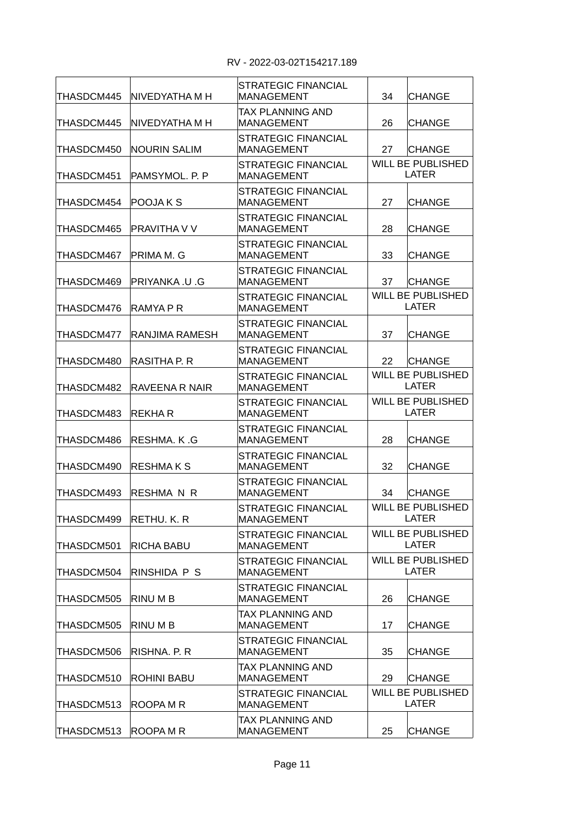| THASDCM445             | INIVEDYATHA M H     | <b>STRATEGIC FINANCIAL</b><br><b>MANAGEMENT</b> | 34                                       | <b>CHANGE</b>                            |  |
|------------------------|---------------------|-------------------------------------------------|------------------------------------------|------------------------------------------|--|
| THASDCM445             | NIVEDYATHA M H      | TAX PLANNING AND<br><b>MANAGEMENT</b>           | 26                                       | <b>CHANGE</b>                            |  |
| THASDCM450             | <b>NOURIN SALIM</b> | <b>STRATEGIC FINANCIAL</b><br><b>MANAGEMENT</b> | 27                                       | <b>CHANGE</b>                            |  |
| THASDCM451             | PAMSYMOL. P. P      | <b>STRATEGIC FINANCIAL</b><br><b>MANAGEMENT</b> |                                          | <b>WILL BE PUBLISHED</b><br><b>LATER</b> |  |
| THASDCM454             | POOJA K S           | STRATEGIC FINANCIAL<br><b>MANAGEMENT</b>        | 27                                       | <b>CHANGE</b>                            |  |
| THASDCM465             | PRAVITHA V V        | STRATEGIC FINANCIAL<br><b>MANAGEMENT</b>        | 28                                       | <b>CHANGE</b>                            |  |
| THASDCM467             | PRIMA M. G          | STRATEGIC FINANCIAL<br><b>MANAGEMENT</b>        | 33                                       | <b>CHANGE</b>                            |  |
| THASDCM469             | PRIYANKA .U .G      | <b>STRATEGIC FINANCIAL</b><br><b>MANAGEMENT</b> | 37                                       | <b>CHANGE</b>                            |  |
| THASDCM476             | RAMYA P R           | <b>STRATEGIC FINANCIAL</b><br><b>MANAGEMENT</b> |                                          | <b>WILL BE PUBLISHED</b><br><b>LATER</b> |  |
| THASDCM477             | RANJIMA RAMESH      | STRATEGIC FINANCIAL<br><b>MANAGEMENT</b>        | 37                                       | <b>CHANGE</b>                            |  |
| THASDCM480             | RASITHA P. R        | STRATEGIC FINANCIAL<br><b>MANAGEMENT</b>        | 22                                       | <b>CHANGE</b>                            |  |
| THASDCM482             | RAVEENA R NAIR      | STRATEGIC FINANCIAL<br><b>MANAGEMENT</b>        | <b>WILL BE PUBLISHED</b><br><b>LATER</b> |                                          |  |
| THASDCM483             | REKHA R             | STRATEGIC FINANCIAL<br><b>MANAGEMENT</b>        | <b>WILL BE PUBLISHED</b><br><b>LATER</b> |                                          |  |
| THASDCM486             | RESHMA, K.G         | STRATEGIC FINANCIAL<br><b>MANAGEMENT</b>        | 28                                       | <b>CHANGE</b>                            |  |
| THASDCM490             | <b>RESHMAKS</b>     | STRATEGIC FINANCIAL<br><b>MANAGEMENT</b>        | 32                                       | <b>CHANGE</b>                            |  |
| THASDCM493             | RESHMA N R          | STRATEGIC FINANCIAL<br><b>MANAGEMENT</b>        | 34                                       | <b>CHANGE</b>                            |  |
| THASDCM499 RETHU. K. R |                     | STRATEGIC FINANCIAL<br>MANAGEMENT               | <b>WILL BE PUBLISHED</b><br>LATER        |                                          |  |
| THASDCM501             | RICHA BABU          | STRATEGIC FINANCIAL<br><b>MANAGEMENT</b>        | <b>WILL BE PUBLISHED</b><br><b>LATER</b> |                                          |  |
| THASDCM504             | RINSHIDA P S        | STRATEGIC FINANCIAL<br><b>MANAGEMENT</b>        | <b>WILL BE PUBLISHED</b><br>LATER        |                                          |  |
| THASDCM505             | RINU M B            | STRATEGIC FINANCIAL<br><b>MANAGEMENT</b>        | 26                                       | <b>CHANGE</b>                            |  |
| THASDCM505             | RINU M B            | TAX PLANNING AND<br>MANAGEMENT                  | 17                                       | <b>CHANGE</b>                            |  |
| THASDCM506             | RISHNA, P. R.       | STRATEGIC FINANCIAL<br><b>MANAGEMENT</b>        | 35                                       | <b>CHANGE</b>                            |  |
| THASDCM510             | <b>ROHINI BABU</b>  | TAX PLANNING AND<br><b>MANAGEMENT</b>           | 29                                       | <b>CHANGE</b>                            |  |
| THASDCM513             | ROOPA M R           | STRATEGIC FINANCIAL<br><b>MANAGEMENT</b>        |                                          | WILL BE PUBLISHED<br><b>LATER</b>        |  |
| THASDCM513             | ROOPA M R           | TAX PLANNING AND<br><b>MANAGEMENT</b>           | 25                                       | <b>CHANGE</b>                            |  |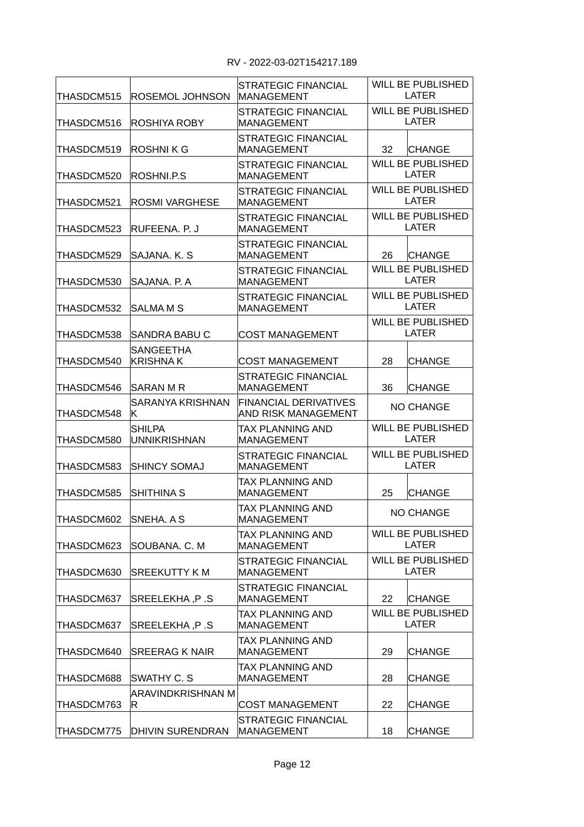| THASDCM515 | ROSEMOL JOHNSON                      | <b>STRATEGIC FINANCIAL</b><br>MANAGEMENT            | <b>WILL BE PUBLISHED</b><br><b>LATER</b> |  |
|------------|--------------------------------------|-----------------------------------------------------|------------------------------------------|--|
| THASDCM516 | IROSHIYA ROBY                        | <b>STRATEGIC FINANCIAL</b><br><b>MANAGEMENT</b>     | <b>WILL BE PUBLISHED</b><br><b>LATER</b> |  |
| THASDCM519 | ROSHNI K G                           | <b>STRATEGIC FINANCIAL</b><br><b>MANAGEMENT</b>     | 32<br><b>CHANGE</b>                      |  |
| THASDCM520 | ROSHNI.P.S                           | STRATEGIC FINANCIAL<br><b>MANAGEMENT</b>            | WILL BE PUBLISHED<br><b>LATER</b>        |  |
| THASDCM521 | <b>ROSMI VARGHESE</b>                | <b>STRATEGIC FINANCIAL</b><br><b>MANAGEMENT</b>     | <b>WILL BE PUBLISHED</b><br><b>LATER</b> |  |
| THASDCM523 | IRUFEENA. P. J                       | <b>STRATEGIC FINANCIAL</b><br><b>MANAGEMENT</b>     | <b>WILL BE PUBLISHED</b><br><b>LATER</b> |  |
| THASDCM529 | SAJANA. K. S                         | <b>STRATEGIC FINANCIAL</b><br><b>MANAGEMENT</b>     | 26<br><b>CHANGE</b>                      |  |
| THASDCM530 | ISAJANA. P. A                        | STRATEGIC FINANCIAL<br>MANAGEMENT                   | <b>WILL BE PUBLISHED</b><br><b>LATER</b> |  |
| THASDCM532 | ISALMA M S                           | <b>STRATEGIC FINANCIAL</b><br>IMANAGEMENT           | <b>WILL BE PUBLISHED</b><br><b>LATER</b> |  |
| THASDCM538 | SANDRA BABU C                        | <b>COST MANAGEMENT</b>                              | <b>WILL BE PUBLISHED</b><br><b>LATER</b> |  |
| THASDCM540 | <b>SANGEETHA</b><br>KRISHNA K        | <b>COST MANAGEMENT</b>                              | 28<br><b>CHANGE</b>                      |  |
| THASDCM546 | SARAN M R                            | STRATEGIC FINANCIAL<br>IMANAGEMENT                  | 36<br><b>CHANGE</b>                      |  |
| THASDCM548 | SARANYA KRISHNAN<br>IK.              | FINANCIAL DERIVATIVES<br><b>AND RISK MANAGEMENT</b> | <b>NO CHANGE</b>                         |  |
| THASDCM580 | <b>SHILPA</b><br><b>UNNIKRISHNAN</b> | TAX PLANNING AND<br>MANAGEMENT                      | <b>WILL BE PUBLISHED</b><br><b>LATER</b> |  |
| THASDCM583 | SHINCY SOMAJ                         | <b>STRATEGIC FINANCIAL</b><br><b>MANAGEMENT</b>     | <b>WILL BE PUBLISHED</b><br><b>LATER</b> |  |
| THASDCM585 | <b>SHITHINA S</b>                    | TAX PLANNING AND<br>MANAGEMENT                      | 25<br>CHANGE                             |  |
| THASDCM602 | <b>SNEHA, A S</b>                    | TAX PLANNING AND<br><b>MANAGEMENT</b>               | <b>NO CHANGE</b>                         |  |
| THASDCM623 | SOUBANA. C. M                        | <b>TAX PLANNING AND</b><br><b>MANAGEMENT</b>        | <b>WILL BE PUBLISHED</b><br><b>LATER</b> |  |
| THASDCM630 | SREEKUTTY K M                        | <b>STRATEGIC FINANCIAL</b><br><b>MANAGEMENT</b>     | <b>WILL BE PUBLISHED</b><br><b>LATER</b> |  |
| THASDCM637 | SREELEKHA, P.S                       | STRATEGIC FINANCIAL<br><b>MANAGEMENT</b>            | 22<br><b>CHANGE</b>                      |  |
| THASDCM637 | SREELEKHA, P.S                       | TAX PLANNING AND<br>MANAGEMENT                      | <b>WILL BE PUBLISHED</b><br><b>LATER</b> |  |
| THASDCM640 | <b>SREERAG K NAIR</b>                | TAX PLANNING AND<br><b>MANAGEMENT</b>               | 29<br><b>CHANGE</b>                      |  |
| THASDCM688 | SWATHY C. S                          | TAX PLANNING AND<br>MANAGEMENT                      | 28<br>CHANGE                             |  |
| THASDCM763 | ARAVINDKRISHNAN M<br>R.              | <b>COST MANAGEMENT</b>                              | 22<br>CHANGE                             |  |
| THASDCM775 | <b>DHIVIN SURENDRAN</b>              | STRATEGIC FINANCIAL<br><b>MANAGEMENT</b>            | 18<br><b>CHANGE</b>                      |  |